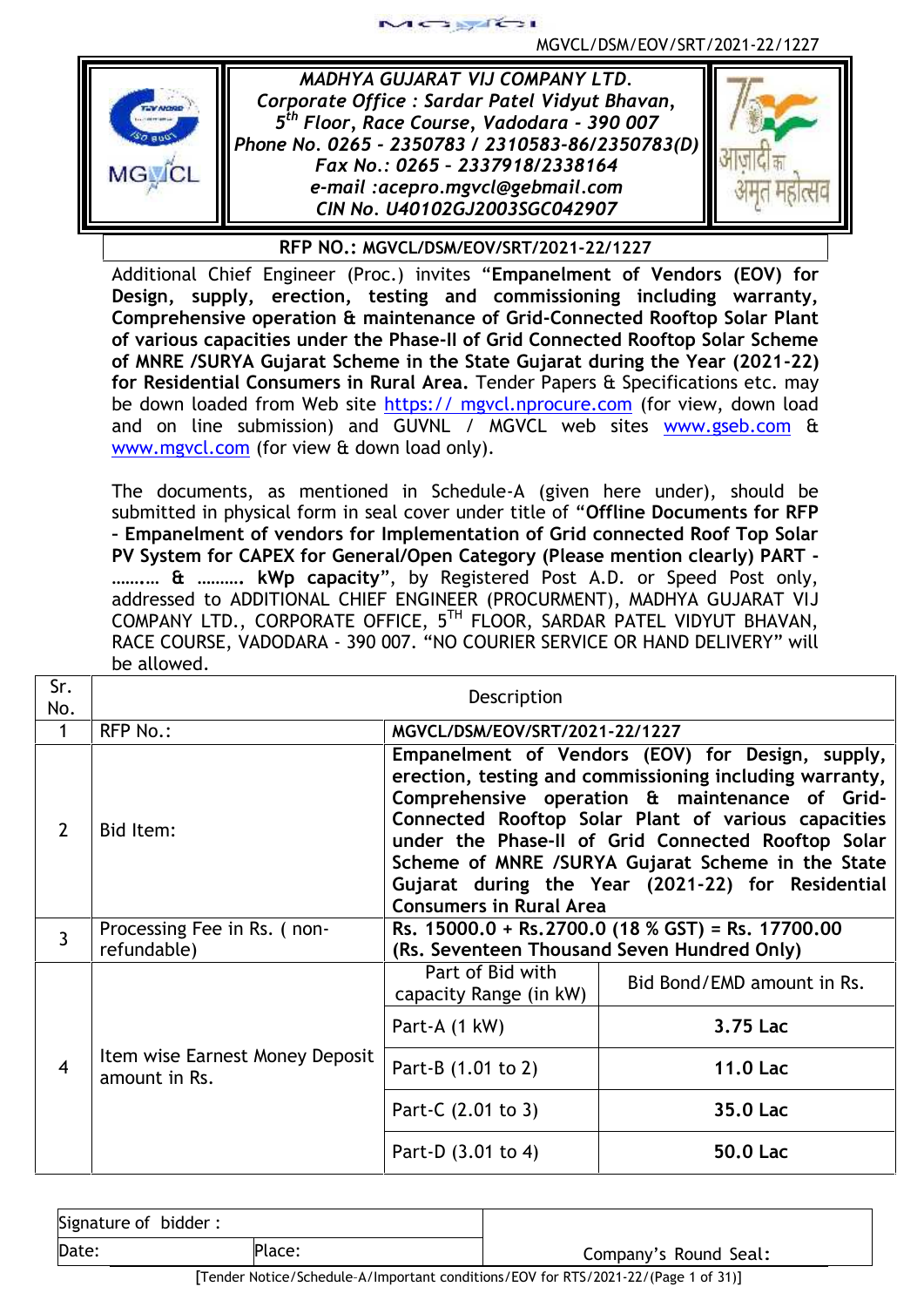

*MADHYA GUJARAT VIJ COMPANY LTD. Corporate Office : Sardar Patel Vidyut Bhavan, 5 th Floor, Race Course, Vadodara - 390 007 Phone No. 0265 - 2350783 / 2310583-86/2350783(D) Fax No.: 0265 – 2337918/2338164 e-mail :acepro.mgvcl@gebmail.com CIN No. U40102GJ2003SGC042907*

 $2.8745 - 1$ 



**RFP NO.: MGVCL/DSM/EOV/SRT/2021-22/1227**

Additional Chief Engineer (Proc.) invites "**Empanelment of Vendors (EOV) for Design, supply, erection, testing and commissioning including warranty, Comprehensive operation & maintenance of Grid-Connected Rooftop Solar Plant of various capacities under the Phase-II of Grid Connected Rooftop Solar Scheme of MNRE /SURYA Gujarat Scheme in the State Gujarat during the Year (2021-22) for Residential Consumers in Rural Area.** Tender Papers & Specifications etc. may be down loaded from Web site https:// mgvcl.nprocure.com (for view, down load and on line submission) and GUVNL / MGVCL web sites www.gseb.com & www.mgvcl.com (for view & down load only).

The documents, as mentioned in Schedule-A (given here under), should be submitted in physical form in seal cover under title of "**Offline Documents for RFP – Empanelment of vendors for Implementation of Grid connected Roof Top Solar PV System for CAPEX for General/Open Category (Please mention clearly) PART - …….… & ………. kWp capacity**", by Registered Post A.D. or Speed Post only, addressed to ADDITIONAL CHIEF ENGINEER (PROCURMENT), MADHYA GUJARAT VIJ COMPANY LTD., CORPORATE OFFICE, 5 TH FLOOR, SARDAR PATEL VIDYUT BHAVAN, RACE COURSE, VADODARA - 390 007. "NO COURIER SERVICE OR HAND DELIVERY" will be allowed.

| Sr.<br>No.     | Description                                      |                                                                                                                                                                                                                                                                                                                                                                                                                                                          |                            |  |  |
|----------------|--------------------------------------------------|----------------------------------------------------------------------------------------------------------------------------------------------------------------------------------------------------------------------------------------------------------------------------------------------------------------------------------------------------------------------------------------------------------------------------------------------------------|----------------------------|--|--|
| 1              | <b>RFP No.:</b>                                  |                                                                                                                                                                                                                                                                                                                                                                                                                                                          |                            |  |  |
| $\overline{2}$ | Bid Item:                                        | MGVCL/DSM/EOV/SRT/2021-22/1227<br>Empanelment of Vendors (EOV) for Design, supply,<br>erection, testing and commissioning including warranty,<br>Comprehensive operation & maintenance of Grid-<br>Connected Rooftop Solar Plant of various capacities<br>under the Phase-II of Grid Connected Rooftop Solar<br>Scheme of MNRE /SURYA Gujarat Scheme in the State<br>Gujarat during the Year (2021-22) for Residential<br><b>Consumers in Rural Area</b> |                            |  |  |
| $\overline{3}$ | Processing Fee in Rs. (non-<br>refundable)       | Rs. 15000.0 + Rs. 2700.0 (18 % GST) = Rs. 17700.00<br>(Rs. Seventeen Thousand Seven Hundred Only)                                                                                                                                                                                                                                                                                                                                                        |                            |  |  |
|                | Item wise Earnest Money Deposit<br>amount in Rs. | Part of Bid with<br>capacity Range (in kW)                                                                                                                                                                                                                                                                                                                                                                                                               | Bid Bond/EMD amount in Rs. |  |  |
| 4              |                                                  | Part-A (1 kW)                                                                                                                                                                                                                                                                                                                                                                                                                                            | 3.75 Lac                   |  |  |
|                |                                                  | Part-B (1.01 to 2)                                                                                                                                                                                                                                                                                                                                                                                                                                       | <b>11.0 Lac</b>            |  |  |
|                |                                                  | Part-C (2.01 to 3)                                                                                                                                                                                                                                                                                                                                                                                                                                       | 35.0 Lac                   |  |  |
|                |                                                  | Part-D (3.01 to 4)                                                                                                                                                                                                                                                                                                                                                                                                                                       | 50.0 Lac                   |  |  |

| Signature of bidder: |        |                       |
|----------------------|--------|-----------------------|
| Date:                | Place: | Company's Round Seal: |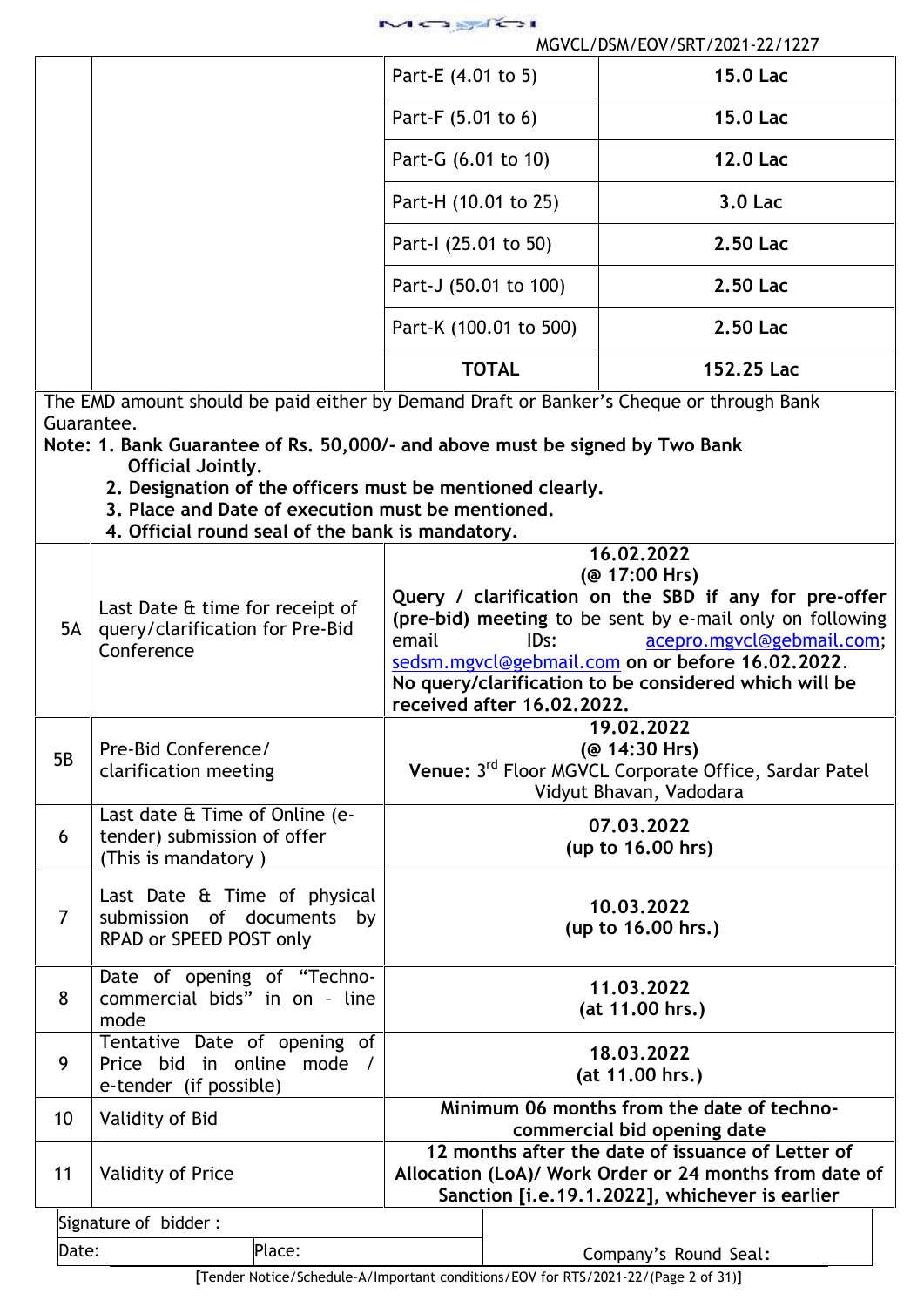| MCBUCH |  |
|--------|--|
|        |  |

| MGVCL/DSM/EOV/SRT/2021-22/1227 |
|--------------------------------|
| Part-E (4.01 to 5)             |
| Part-F (5.01 to 6)             |
| Part-G (6.01 to 10)            |
| Part-H (10.01 to 25)           |
| Part-I (25.01 to 50)           |
| Part-J (50.01 to 100)          |
| Part-K (100.01 to 500)         |
| <b>TOTAL</b>                   |
|                                |

The EMD amount should be paid either by Demand Draft or Banker's Cheque or through Bank Guarantee.

**Note: 1. Bank Guarantee of Rs. 50,000/- and above must be signed by Two Bank Official Jointly.**

- **2. Designation of the officers must be mentioned clearly.**
- **3. Place and Date of execution must be mentioned.**
- **4. Official round seal of the bank is mandatory.**

| 5A             | Last Date & time for receipt of<br>query/clarification for Pre-Bid<br>Conference      | email | 16.02.2022<br>(@ 17:00 Hrs)<br>Query / clarification on the SBD if any for pre-offer<br>(pre-bid) meeting to be sent by e-mail only on following<br>acepro.mgvcl@gebmail.com;<br>IDs:<br>sedsm.mgvcl@gebmail.com on or before 16.02.2022.<br>No query/clarification to be considered which will be<br>received after 16.02.2022. |
|----------------|---------------------------------------------------------------------------------------|-------|----------------------------------------------------------------------------------------------------------------------------------------------------------------------------------------------------------------------------------------------------------------------------------------------------------------------------------|
| 5B             | Pre-Bid Conference/<br>clarification meeting                                          |       | 19.02.2022<br>(@ 14:30 Hrs)<br>Venue: 3rd Floor MGVCL Corporate Office, Sardar Patel<br>Vidyut Bhavan, Vadodara                                                                                                                                                                                                                  |
| 6              | Last date & Time of Online (e-<br>tender) submission of offer<br>(This is mandatory)  |       | 07.03.2022<br>(up to 16.00 hrs)                                                                                                                                                                                                                                                                                                  |
| $\overline{7}$ | Last Date & Time of physical<br>submission of documents by<br>RPAD or SPEED POST only |       | 10.03.2022<br>(up to 16.00 hrs.)                                                                                                                                                                                                                                                                                                 |
| 8              | Date of opening of "Techno-<br>commercial bids" in on - line<br>mode                  |       | 11.03.2022<br>(at 11.00 hrs.)                                                                                                                                                                                                                                                                                                    |
| 9              | Tentative Date of opening of<br>Price bid in online mode /<br>e-tender (if possible)  |       | 18.03.2022<br>(at 11.00 hrs.)                                                                                                                                                                                                                                                                                                    |
| 10             | Validity of Bid                                                                       |       | Minimum 06 months from the date of techno-<br>commercial bid opening date                                                                                                                                                                                                                                                        |
| 11             | <b>Validity of Price</b>                                                              |       | 12 months after the date of issuance of Letter of<br>Allocation (LoA)/ Work Order or 24 months from date of<br>Sanction [i.e.19.1.2022], whichever is earlier                                                                                                                                                                    |
|                | Signature of bidder:                                                                  |       |                                                                                                                                                                                                                                                                                                                                  |
| Date:          | Place:                                                                                |       | Company's Round Seal:                                                                                                                                                                                                                                                                                                            |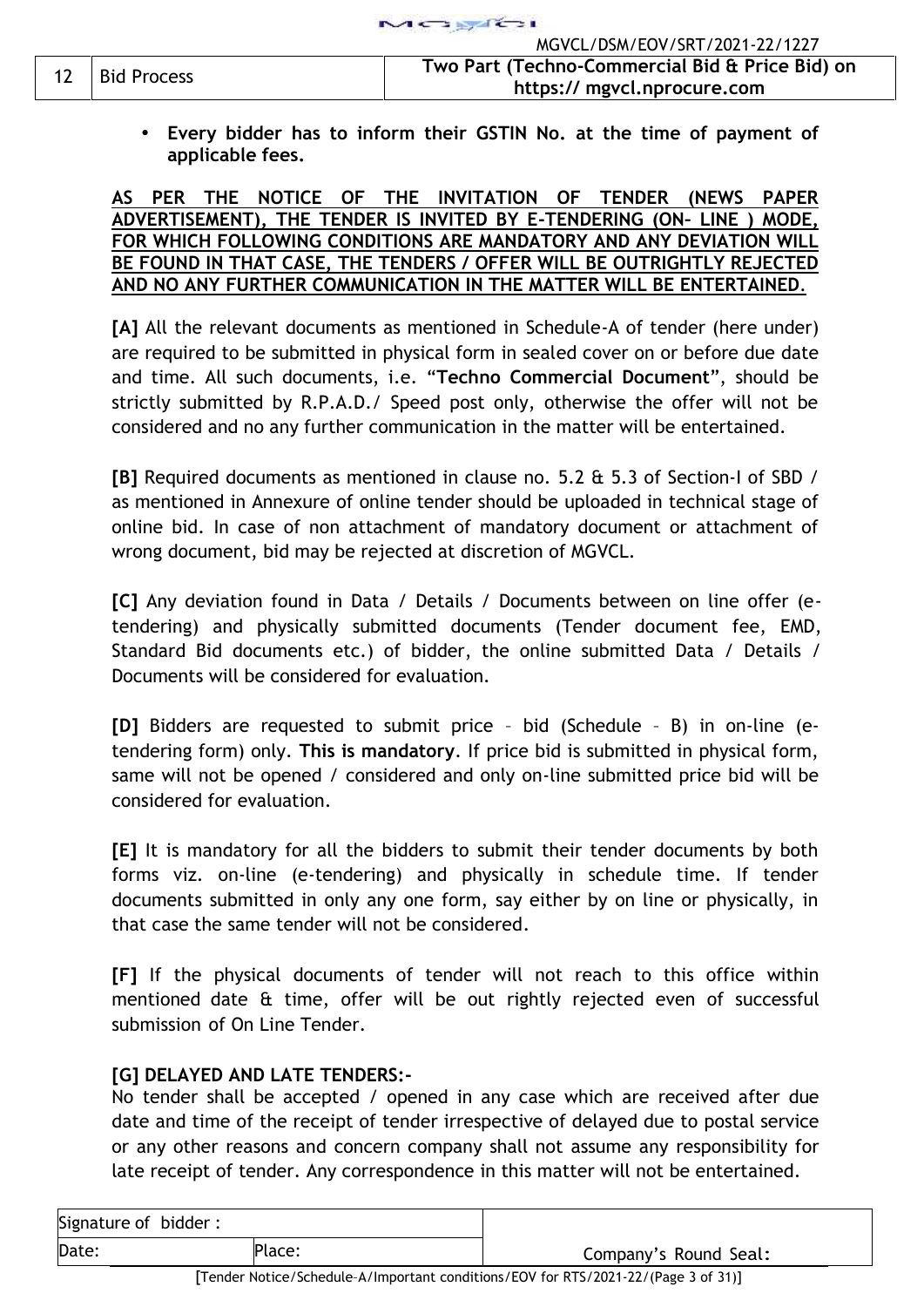**Every bidder has to inform their GSTIN No. at the time of payment of applicable fees.**

## **AS PER THE NOTICE OF THE INVITATION OF TENDER (NEWS PAPER ADVERTISEMENT), THE TENDER IS INVITED BY E-TENDERING (ON– LINE ) MODE, FOR WHICH FOLLOWING CONDITIONS ARE MANDATORY AND ANY DEVIATION WILL BE FOUND IN THAT CASE, THE TENDERS / OFFER WILL BE OUTRIGHTLY REJECTED AND NO ANY FURTHER COMMUNICATION IN THE MATTER WILL BE ENTERTAINED***.*

**[A]** All the relevant documents as mentioned in Schedule-A of tender (here under) are required to be submitted in physical form in sealed cover on or before due date and time. All such documents, i.e. "**Techno Commercial Document**", should be strictly submitted by R.P.A.D./ Speed post only, otherwise the offer will not be considered and no any further communication in the matter will be entertained.

**[B]** Required documents as mentioned in clause no. 5.2 & 5.3 of Section-I of SBD / as mentioned in Annexure of online tender should be uploaded in technical stage of online bid. In case of non attachment of mandatory document or attachment of wrong document, bid may be rejected at discretion of MGVCL.

**[C]** Any deviation found in Data / Details / Documents between on line offer (e tendering) and physically submitted documents (Tender document fee, EMD, Standard Bid documents etc.) of bidder, the online submitted Data / Details / Documents will be considered for evaluation.

**[D]** Bidders are requested to submit price – bid (Schedule – B) in on-line (e tendering form) only. **This is mandatory**. If price bid is submitted in physical form, same will not be opened / considered and only on-line submitted price bid will be considered for evaluation.

**[E]** It is mandatory for all the bidders to submit their tender documents by both forms viz. on-line (e-tendering) and physically in schedule time. If tender documents submitted in only any one form, say either by on line or physically, in that case the same tender will not be considered.

**[F]** If the physical documents of tender will not reach to this office within mentioned date & time, offer will be out rightly rejected even of successful submission of On Line Tender.

# **[G] DELAYED AND LATE TENDERS:-**

No tender shall be accepted / opened in any case which are received after due date and time of the receipt of tender irrespective of delayed due to postal service or any other reasons and concern company shall not assume any responsibility for late receipt of tender. Any correspondence in this matter will not be entertained.

| Signature of bidder: |        |                       |
|----------------------|--------|-----------------------|
| Date:                | Place: | Company's Round Seal: |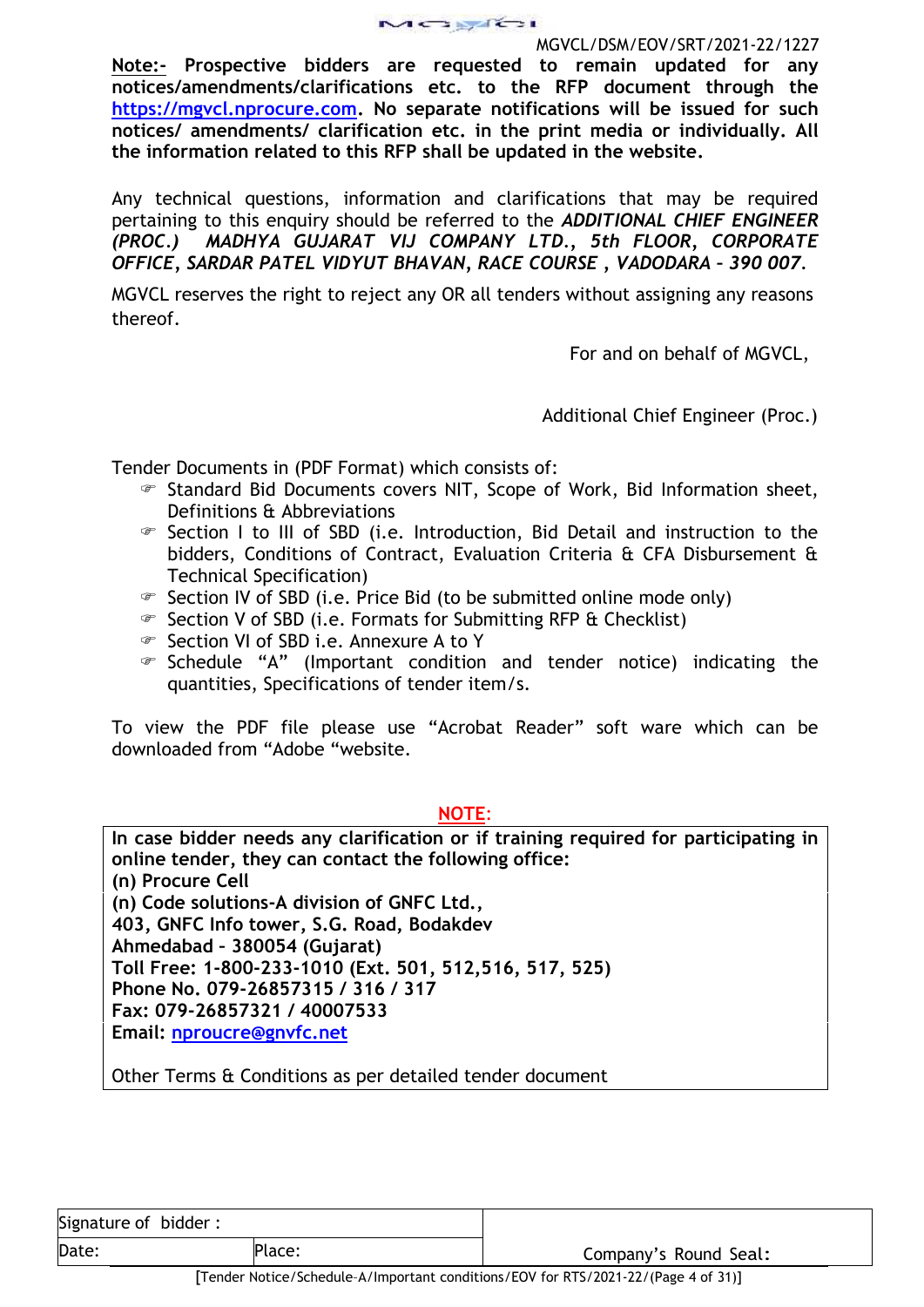**Note:- Prospective bidders are requested to remain updated for any notices/amendments/clarifications etc. to the RFP document through the https://mgvcl.nprocure.com. No separate notifications will be issued for such notices/ amendments/ clarification etc. in the print media or individually. All the information related to this RFP shall be updated in the website.**

Any technical questions, information and clarifications that may be required pertaining to this enquiry should be referred to the *ADDITIONAL CHIEF ENGINEER (PROC.) MADHYA GUJARAT VIJ COMPANY LTD., 5th FLOOR, CORPORATE OFFICE, SARDAR PATEL VIDYUT BHAVAN, RACE COURSE , VADODARA – 390 007.*

MGVCL reserves the right to reject any OR all tenders without assigning any reasons thereof.

For and on behalf of MGVCL,

Additional Chief Engineer (Proc.)

Tender Documents in (PDF Format) which consists of:

- Standard Bid Documents covers NIT, Scope of Work, Bid Information sheet, Definitions & Abbreviations
- Section I to III of SBD (i.e. Introduction, Bid Detail and instruction to the bidders, Conditions of Contract, Evaluation Criteria & CFA Disbursement & Technical Specification)
- $\mathcal{F}$  Section IV of SBD (i.e. Price Bid (to be submitted online mode only)
- Section V of SBD (i.e. Formats for Submitting RFP & Checklist)
- Section VI of SBD i.e. Annexure A to Y
- Schedule "A" (Important condition and tender notice) indicating the quantities, Specifications of tender item/s.

To view the PDF file please use "Acrobat Reader" soft ware which can be downloaded from "Adobe "website.

**NOTE**:

**In case bidder needs any clarification or if training required for participating in online tender, they can contact the following office: (n) Procure Cell (n) Code solutions-A division of GNFC Ltd., 403, GNFC Info tower, S.G. Road, Bodakdev Ahmedabad – 380054 (Gujarat) Toll Free: 1-800-233-1010 (Ext. 501, 512,516, 517, 525) Phone No. 079-26857315 / 316 / 317 Fax: 079-26857321 / 40007533 Email: nproucre@gnvfc.net**

Other Terms & Conditions as per detailed tender document

Signature of bidder : Date: Place: Place: Place: Company's Round Seal: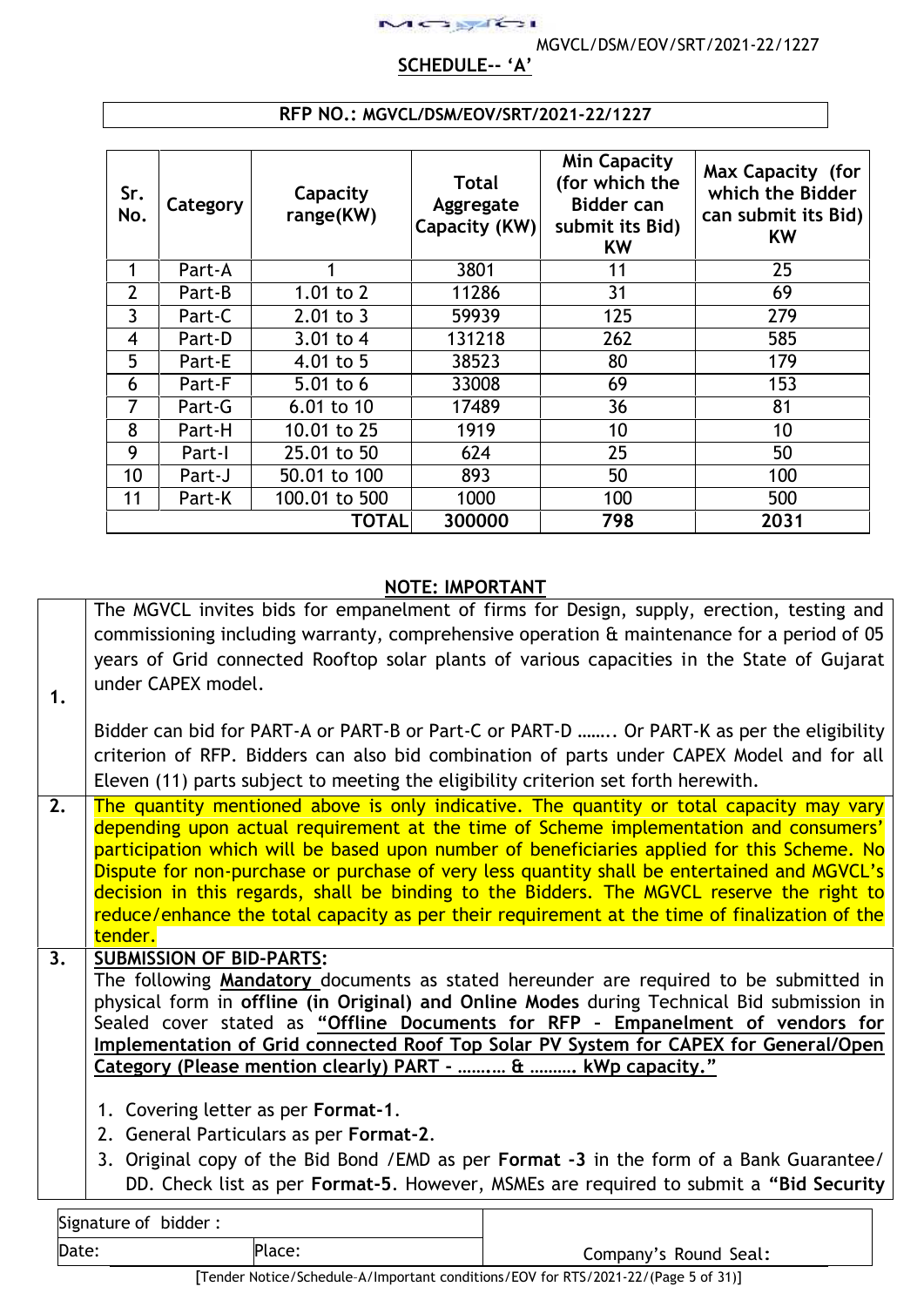# **SCHEDULE-- 'A'**

 $15.9631$ 

| Sr.<br>No.     | Category | Capacity<br>range(KW) | <b>Total</b><br>Aggregate<br>Capacity (KW) | <b>Min Capacity</b><br>(for which the<br><b>Bidder can</b><br>submit its Bid)<br><b>KW</b> | Max Capacity (for<br>which the Bidder<br>can submit its Bid)<br><b>KW</b> |
|----------------|----------|-----------------------|--------------------------------------------|--------------------------------------------------------------------------------------------|---------------------------------------------------------------------------|
|                | Part-A   |                       | 3801                                       | 11                                                                                         | 25                                                                        |
| $\overline{2}$ | Part-B   | 1.01 to $2$           | 11286                                      | 31                                                                                         | 69                                                                        |
| 3              | Part-C   | $2.01$ to 3           | 59939                                      | 125                                                                                        | 279                                                                       |
| 4              | Part-D   | 3.01 to $4$           | 131218                                     | 262                                                                                        | 585                                                                       |
| 5              | Part-E   | 4.01 to 5             | 38523                                      | 80                                                                                         | 179                                                                       |
| 6              | Part-F   | 5.01 to $6$           | 33008                                      | 69                                                                                         | 153                                                                       |
| 7              | Part-G   | 6.01 to 10            | 17489                                      | 36                                                                                         | 81                                                                        |
| 8              | Part-H   | 10.01 to 25           | 1919                                       | 10                                                                                         | 10                                                                        |
| 9              | Part-I   | 25.01 to 50           | 624                                        | 25                                                                                         | 50                                                                        |
| 10             | Part-J   | 50.01 to 100          | 893                                        | 50                                                                                         | 100                                                                       |
| 11             | Part-K   | 100.01 to 500         | 1000                                       | 100                                                                                        | 500                                                                       |
|                |          | TOTAL                 | 300000                                     | 798                                                                                        | 2031                                                                      |

## **RFP NO.: MGVCL/DSM/EOV/SRT/2021-22/1227**

## **NOTE: IMPORTANT**

The MGVCL invites bids for empanelment of firms for Design, supply, erection, testing and commissioning including warranty, comprehensive operation & maintenance for a period of 05 years of Grid connected Rooftop solar plants of various capacities in the State of Gujarat under CAPEX model.

Bidder can bid for PART-A or PART-B or Part-C or PART-D …….. Or PART-K as per the eligibility criterion of RFP. Bidders can also bid combination of parts under CAPEX Model and for all Eleven (11) parts subject to meeting the eligibility criterion set forth herewith.

2. The quantity mentioned above is only indicative. The quantity or total capacity may vary depending upon actual requirement at the time of Scheme implementation and consumers' participation which will be based upon number of beneficiaries applied for this Scheme. No Dispute for non-purchase or purchase of very less quantity shall be entertained and MGVCL's decision in this regards, shall be binding to the Bidders. The MGVCL reserve the right to reduce/enhance the total capacity as per their requirement at the time of finalization of the tender.

# **3. SUBMISSION OF BID-PARTS:**

**1.**

The following **Mandatory** documents as stated hereunder are required to be submitted in physical form in **offline (in Original) and Online Modes** during Technical Bid submission in Sealed cover stated as **"Offline Documents for RFP – Empanelment of vendors for Implementation of Grid connected Roof Top Solar PV System for CAPEX for General/Open Category (Please mention clearly) PART - …….… & ………. kWp capacity."**

- 1. Covering letter as per **Format-1**.
- 2. General Particulars as per **Format-2**.
- 3. Original copy of the Bid Bond /EMD as per **Format -3** in the form of a Bank Guarantee/ DD. Check list as per **Format-5**. However, MSMEs are required to submit a **"Bid Security**

| Signature of bidder: |        |
|----------------------|--------|
| Date:                | Place: |

Company's Round Seal: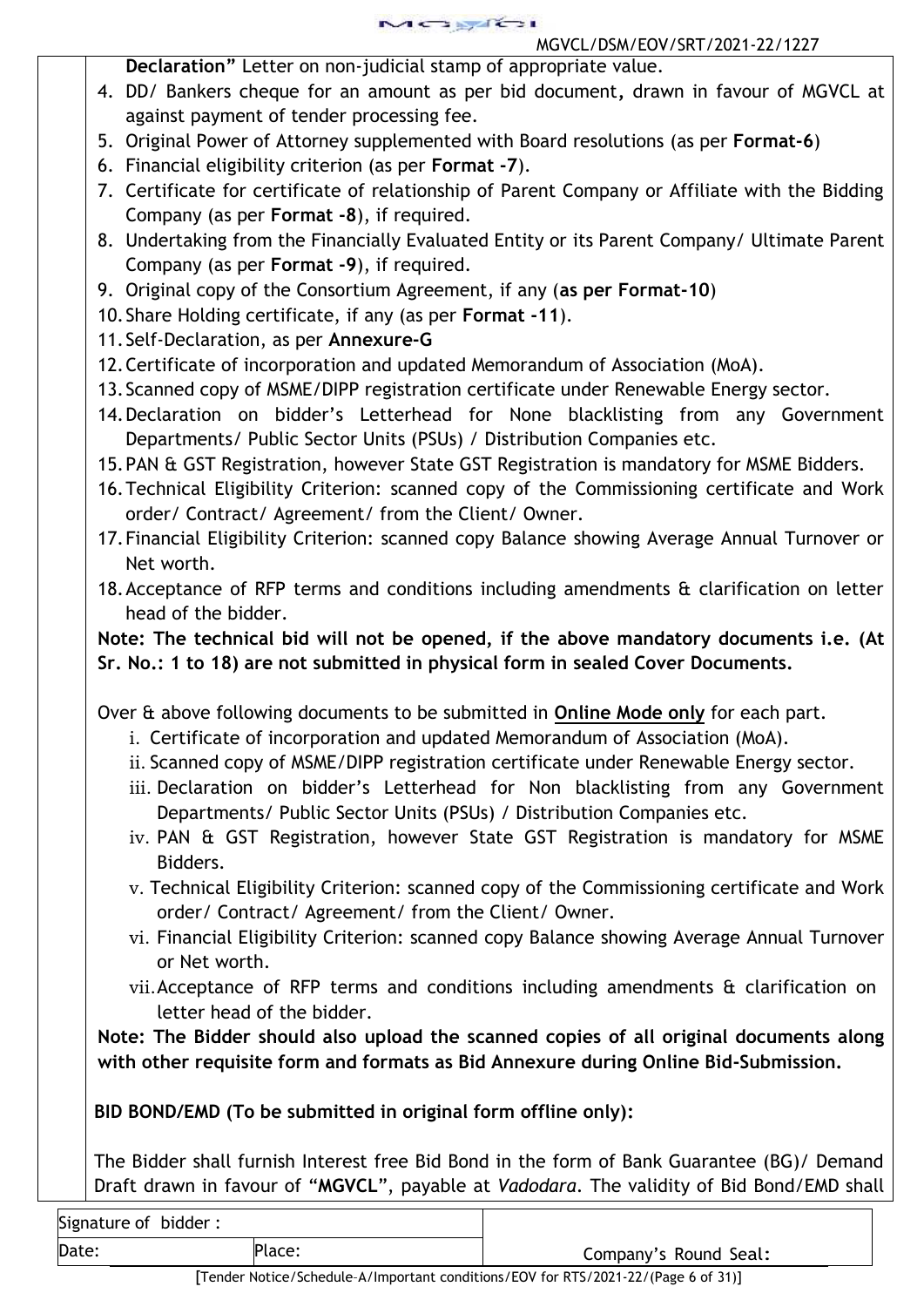MGYRSI MGVCL/DSM/EOV/SRT/2021-22/1227

**Declaration"** Letter on non-judicial stamp of appropriate value.

- 4. DD/ Bankers cheque for an amount as per bid document**,** drawn in favour of MGVCL at against payment of tender processing fee.
- 5. Original Power of Attorney supplemented with Board resolutions (as per **Format-6**)
- 6. Financial eligibility criterion (as per **Format -7**).
- 7. Certificate for certificate of relationship of Parent Company or Affiliate with the Bidding Company (as per **Format -8**), if required.
- 8. Undertaking from the Financially Evaluated Entity or its Parent Company/ Ultimate Parent Company (as per **Format -9**), if required.
- 9. Original copy of the Consortium Agreement, if any (**as per Format-10**)
- 10.Share Holding certificate, if any (as per **Format -11**).
- 11.Self-Declaration, as per **Annexure-G**
- 12.Certificate of incorporation and updated Memorandum of Association (MoA).
- 13.Scanned copy of MSME/DIPP registration certificate under Renewable Energy sector.
- 14.Declaration on bidder's Letterhead for None blacklisting from any Government Departments/ Public Sector Units (PSUs) / Distribution Companies etc.
- 15.PAN & GST Registration, however State GST Registration is mandatory for MSME Bidders.
- 16.Technical Eligibility Criterion: scanned copy of the Commissioning certificate and Work order/ Contract/ Agreement/ from the Client/ Owner.
- 17.Financial Eligibility Criterion: scanned copy Balance showing Average Annual Turnover or Net worth.
- 18.Acceptance of RFP terms and conditions including amendments & clarification on letter head of the bidder.

**Note: The technical bid will not be opened, if the above mandatory documents i.e. (At Sr. No.: 1 to 18) are not submitted in physical form in sealed Cover Documents.**

Over & above following documents to be submitted in **Online Mode only** for each part.

- i. Certificate of incorporation and updated Memorandum of Association (MoA).
- ii. Scanned copy of MSME/DIPP registration certificate under Renewable Energy sector.
- iii. Declaration on bidder's Letterhead for Non blacklisting from any Government Departments/ Public Sector Units (PSUs) / Distribution Companies etc.
- iv. PAN & GST Registration, however State GST Registration is mandatory for MSME Bidders.
- v. Technical Eligibility Criterion: scanned copy of the Commissioning certificate and Work order/ Contract/ Agreement/ from the Client/ Owner.
- vi. Financial Eligibility Criterion: scanned copy Balance showing Average Annual Turnover or Net worth.
- vii.Acceptance of RFP terms and conditions including amendments & clarification on letter head of the bidder.

**Note: The Bidder should also upload the scanned copies of all original documents along with other requisite form and formats as Bid Annexure during Online Bid-Submission.**

**BID BOND/EMD (To be submitted in original form offline only):**

The Bidder shall furnish Interest free Bid Bond in the form of Bank Guarantee (BG)/ Demand Draft drawn in favour of "**MGVCL**", payable at *Vadodara*. The validity of Bid Bond/EMD shall

| Signature of bidder: |        |  |
|----------------------|--------|--|
| Date:                | Place: |  |

Company's Round Seal: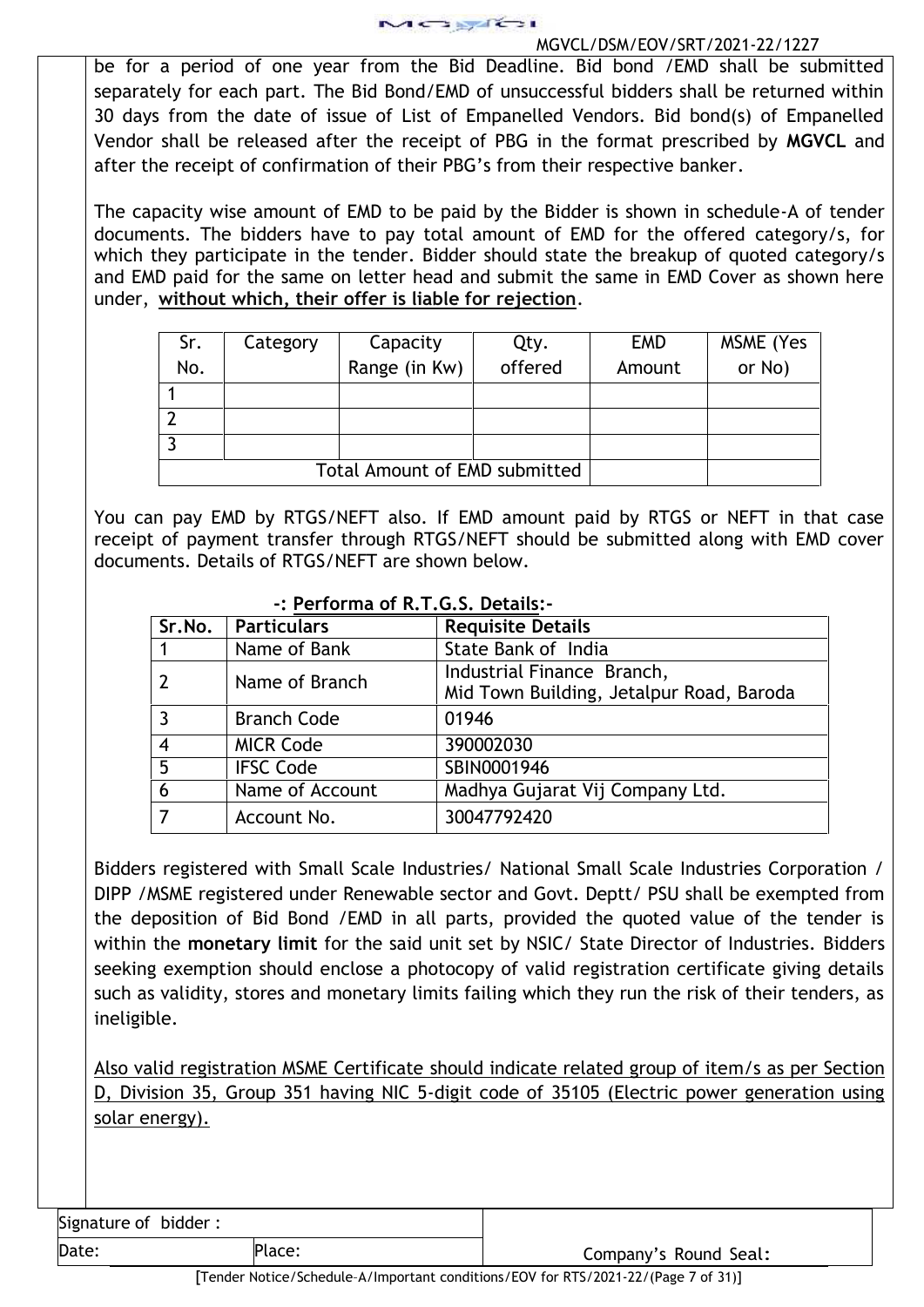

be for a period of one year from the Bid Deadline. Bid bond /EMD shall be submitted separately for each part. The Bid Bond/EMD of unsuccessful bidders shall be returned within 30 days from the date of issue of List of Empanelled Vendors. Bid bond(s) of Empanelled Vendor shall be released after the receipt of PBG in the format prescribed by **MGVCL** and after the receipt of confirmation of their PBG's from their respective banker.

The capacity wise amount of EMD to be paid by the Bidder is shown in schedule-A of tender documents. The bidders have to pay total amount of EMD for the offered category/s, for which they participate in the tender. Bidder should state the breakup of quoted category/s and EMD paid for the same on letter head and submit the same in EMD Cover as shown here under, **without which, their offer is liable for rejection**.

| Sr.<br>No. | Category                      | Capacity<br>Range (in Kw) | Qty.<br>offered | <b>EMD</b><br>Amount | MSME (Yes<br>or No) |  |  |
|------------|-------------------------------|---------------------------|-----------------|----------------------|---------------------|--|--|
|            |                               |                           |                 |                      |                     |  |  |
|            |                               |                           |                 |                      |                     |  |  |
|            |                               |                           |                 |                      |                     |  |  |
|            | Total Amount of EMD submitted |                           |                 |                      |                     |  |  |

You can pay EMD by RTGS/NEFT also. If EMD amount paid by RTGS or NEFT in that case receipt of payment transfer through RTGS/NEFT should be submitted along with EMD cover documents. Details of RTGS/NEFT are shown below.

| Sr.No. | <b>Particulars</b> | <b>Requisite Details</b>                 |  |  |  |  |
|--------|--------------------|------------------------------------------|--|--|--|--|
|        | Name of Bank       | State Bank of India                      |  |  |  |  |
|        | Name of Branch     | Industrial Finance Branch,               |  |  |  |  |
|        |                    | Mid Town Building, Jetalpur Road, Baroda |  |  |  |  |
|        | <b>Branch Code</b> | 01946                                    |  |  |  |  |
| 4      | <b>MICR Code</b>   | 390002030                                |  |  |  |  |
| 5      | <b>IFSC Code</b>   | SBIN0001946                              |  |  |  |  |
| 6      | Name of Account    | Madhya Gujarat Vij Company Ltd.          |  |  |  |  |
|        | Account No.        | 30047792420                              |  |  |  |  |

## **-: Performa of R.T.G.S. Details:-**

Bidders registered with Small Scale Industries/ National Small Scale Industries Corporation / DIPP /MSME registered under Renewable sector and Govt. Deptt/ PSU shall be exempted from the deposition of Bid Bond /EMD in all parts, provided the quoted value of the tender is within the **monetary limit** for the said unit set by NSIC/ State Director of Industries. Bidders seeking exemption should enclose a photocopy of valid registration certificate giving details such as validity, stores and monetary limits failing which they run the risk of their tenders, as ineligible.

Also valid registration MSME Certificate should indicate related group of item/s as per Section D, Division 35, Group 351 having NIC 5-digit code of 35105 (Electric power generation using solar energy).

Signature of bidder :

Date: Place: Place: Place: Place: Place: Company's Round Seal: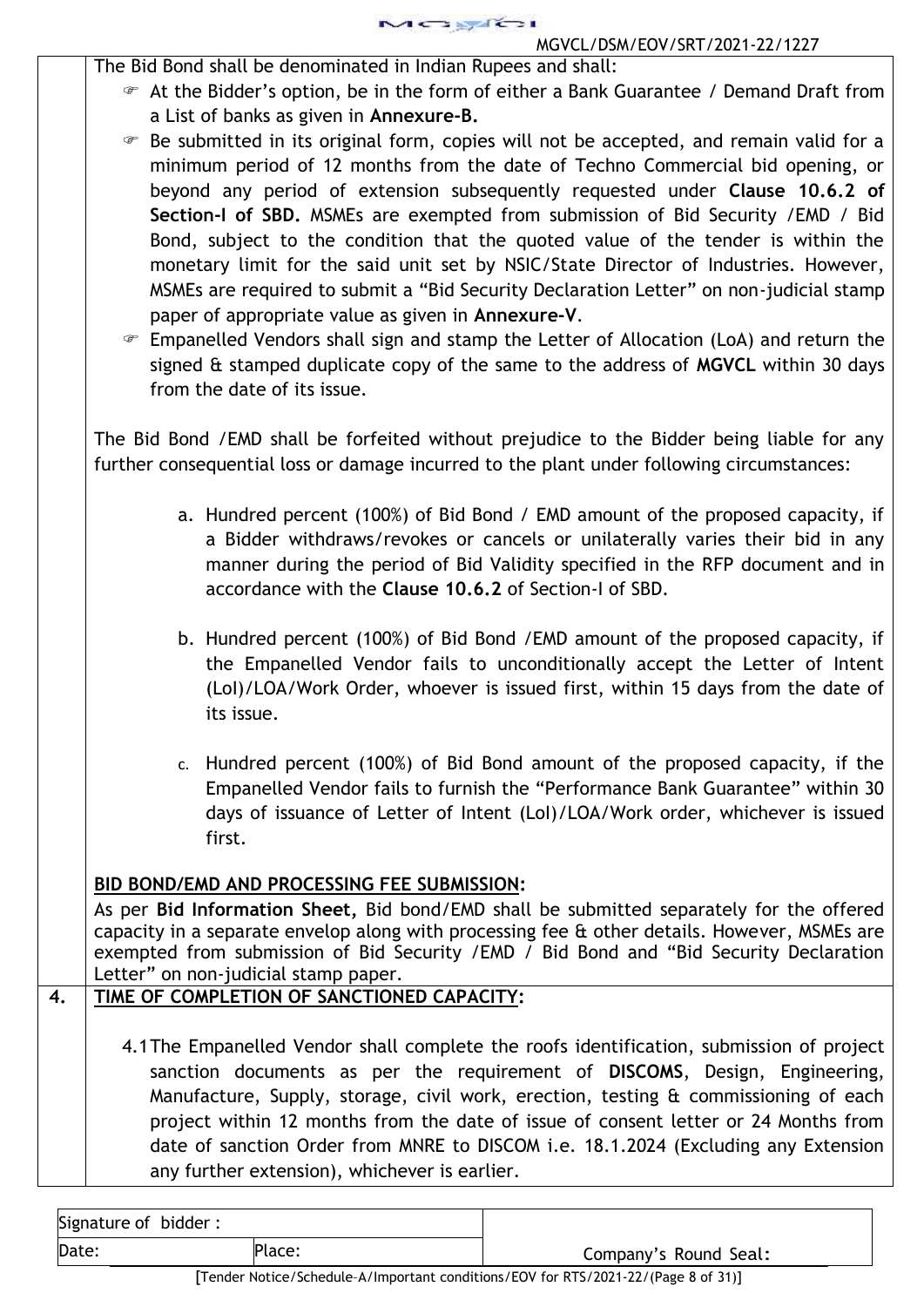MCSERCSI MGVCL/DSM/EOV/SRT/2021-22/1227

The Bid Bond shall be denominated in Indian Rupees and shall:

 At the Bidder's option, be in the form of either a Bank Guarantee / Demand Draft from a List of banks as given in **Annexure-B.**

 Be submitted in its original form, copies will not be accepted, and remain valid for a minimum period of 12 months from the date of Techno Commercial bid opening, or beyond any period of extension subsequently requested under **Clause 10.6.2 of Section-I of SBD.** MSMEs are exempted from submission of Bid Security /EMD / Bid Bond, subject to the condition that the quoted value of the tender is within the monetary limit for the said unit set by NSIC/State Director of Industries. However, MSMEs are required to submit a "Bid Security Declaration Letter" on non-judicial stamp paper of appropriate value as given in **Annexure-V**.

 Empanelled Vendors shall sign and stamp the Letter of Allocation (LoA) and return the signed & stamped duplicate copy of the same to the address of **MGVCL** within 30 days from the date of its issue.

The Bid Bond /EMD shall be forfeited without prejudice to the Bidder being liable for any further consequential loss or damage incurred to the plant under following circumstances:

- a. Hundred percent (100%) of Bid Bond / EMD amount of the proposed capacity, if a Bidder withdraws/revokes or cancels or unilaterally varies their bid in any manner during the period of Bid Validity specified in the RFP document and in accordance with the **Clause 10.6.2** of Section-I of SBD.
- b. Hundred percent (100%) of Bid Bond /EMD amount of the proposed capacity, if the Empanelled Vendor fails to unconditionally accept the Letter of Intent (LoI)/LOA/Work Order, whoever is issued first, within 15 days from the date of its issue.
- c. Hundred percent (100%) of Bid Bond amount of the proposed capacity, if the Empanelled Vendor fails to furnish the "Performance Bank Guarantee" within 30 days of issuance of Letter of Intent (LoI)/LOA/Work order, whichever is issued first.

# **BID BOND/EMD AND PROCESSING FEE SUBMISSION:**

As per **Bid Information Sheet,** Bid bond/EMD shall be submitted separately for the offered capacity in a separate envelop along with processing fee & other details. However, MSMEs are exempted from submission of Bid Security /EMD / Bid Bond and "Bid Security Declaration Letter" on non-judicial stamp paper.

# **4. TIME OF COMPLETION OF SANCTIONED CAPACITY:**

4.1The Empanelled Vendor shall complete the roofs identification, submission of project sanction documents as per the requirement of **DISCOMS**, Design, Engineering, Manufacture, Supply, storage, civil work, erection, testing & commissioning of each project within 12 months from the date of issue of consent letter or 24 Months from date of sanction Order from MNRE to DISCOM i.e. 18.1.2024 (Excluding any Extension any further extension), whichever is earlier.

| Signature of bidder: |        |  |
|----------------------|--------|--|
| Date:                | Place: |  |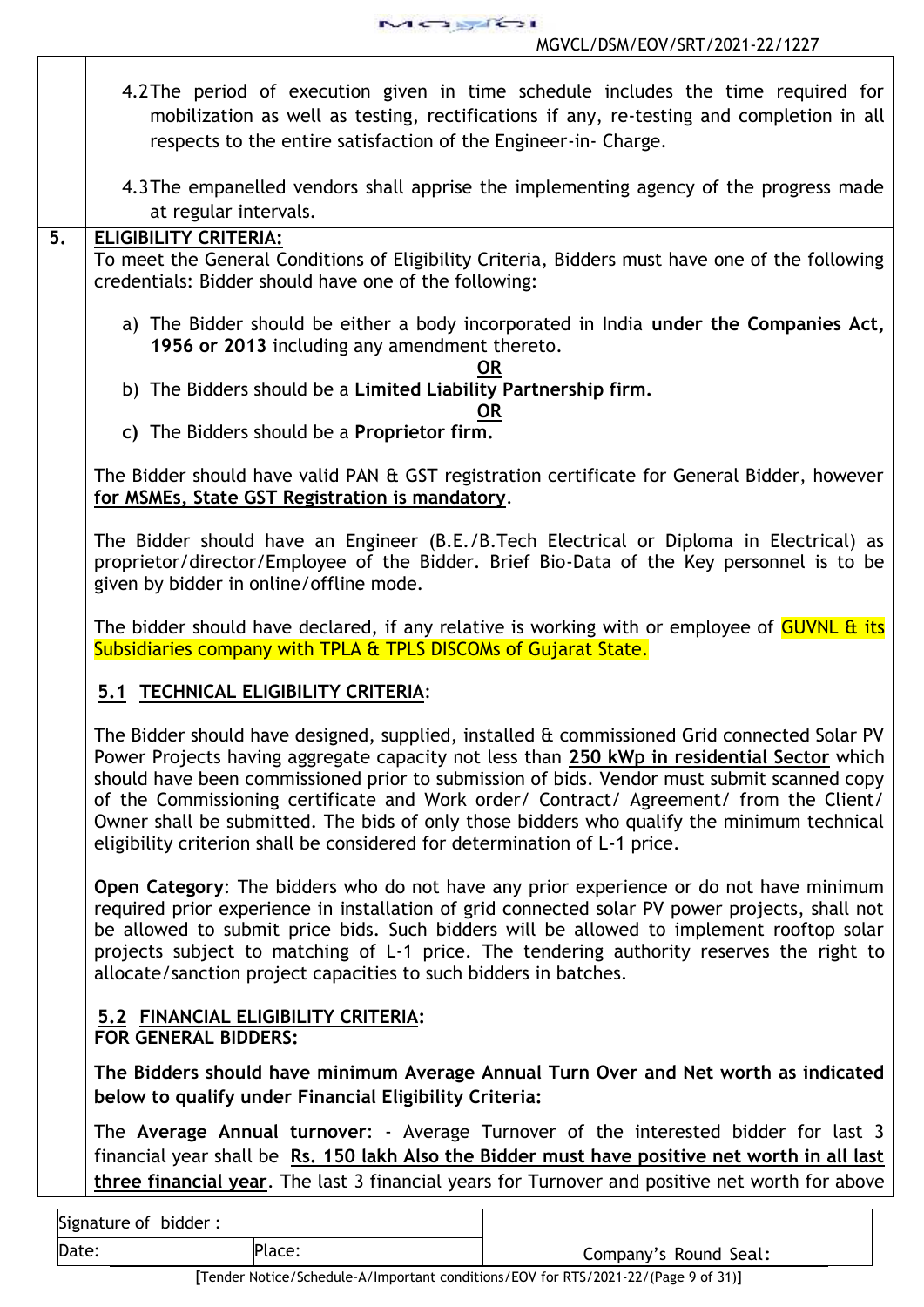$A \rightarrow \sqrt{2}$ MGVCL/DSM/EOV/SRT/2021-22/1227

- 4.2The period of execution given in time schedule includes the time required for mobilization as well as testing, rectifications if any, re-testing and completion in all respects to the entire satisfaction of the Engineer-in- Charge.
	- 4.3The empanelled vendors shall apprise the implementing agency of the progress made at regular intervals.

## **5. ELIGIBILITY CRITERIA:**

To meet the General Conditions of Eligibility Criteria, Bidders must have one of the following credentials: Bidder should have one of the following:

a) The Bidder should be either a body incorporated in India **under the Companies Act, 1956 or 2013** including any amendment thereto.

## **OR**

b) The Bidders should be a **Limited Liability Partnership firm.**

## **OR**

**c)** The Bidders should be a **Proprietor firm.**

The Bidder should have valid PAN & GST registration certificate for General Bidder, however **for MSMEs, State GST Registration is mandatory**.

The Bidder should have an Engineer (B.E./B.Tech Electrical or Diploma in Electrical) as proprietor/director/Employee of the Bidder. Brief Bio-Data of the Key personnel is to be given by bidder in online/offline mode.

The bidder should have declared, if any relative is working with or employee of GUVNL & its Subsidiaries company with TPLA & TPLS DISCOMs of Gujarat State.

# **5.1 TECHNICAL ELIGIBILITY CRITERIA**:

The Bidder should have designed, supplied, installed & commissioned Grid connected Solar PV Power Projects having aggregate capacity not less than **250 kWp in residential Sector** which should have been commissioned prior to submission of bids. Vendor must submit scanned copy of the Commissioning certificate and Work order/ Contract/ Agreement/ from the Client/ Owner shall be submitted. The bids of only those bidders who qualify the minimum technical eligibility criterion shall be considered for determination of L-1 price.

**Open Category**: The bidders who do not have any prior experience or do not have minimum required prior experience in installation of grid connected solar PV power projects, shall not be allowed to submit price bids. Such bidders will be allowed to implement rooftop solar projects subject to matching of L-1 price. The tendering authority reserves the right to allocate/sanction project capacities to such bidders in batches.

## **5.2 FINANCIAL ELIGIBILITY CRITERIA: FOR GENERAL BIDDERS:**

**The Bidders should have minimum Average Annual Turn Over and Net worth as indicated below to qualify under Financial Eligibility Criteria:**

The **Average Annual turnover**: - Average Turnover of the interested bidder for last 3 financial year shall be **Rs. 150 lakh Also the Bidder must have positive net worth in all last three financial year**. The last 3 financial years for Turnover and positive net worth for above

Signature of bidder :

Date: Place: Place: Place: Place: Place: Place: Company's Round Seal: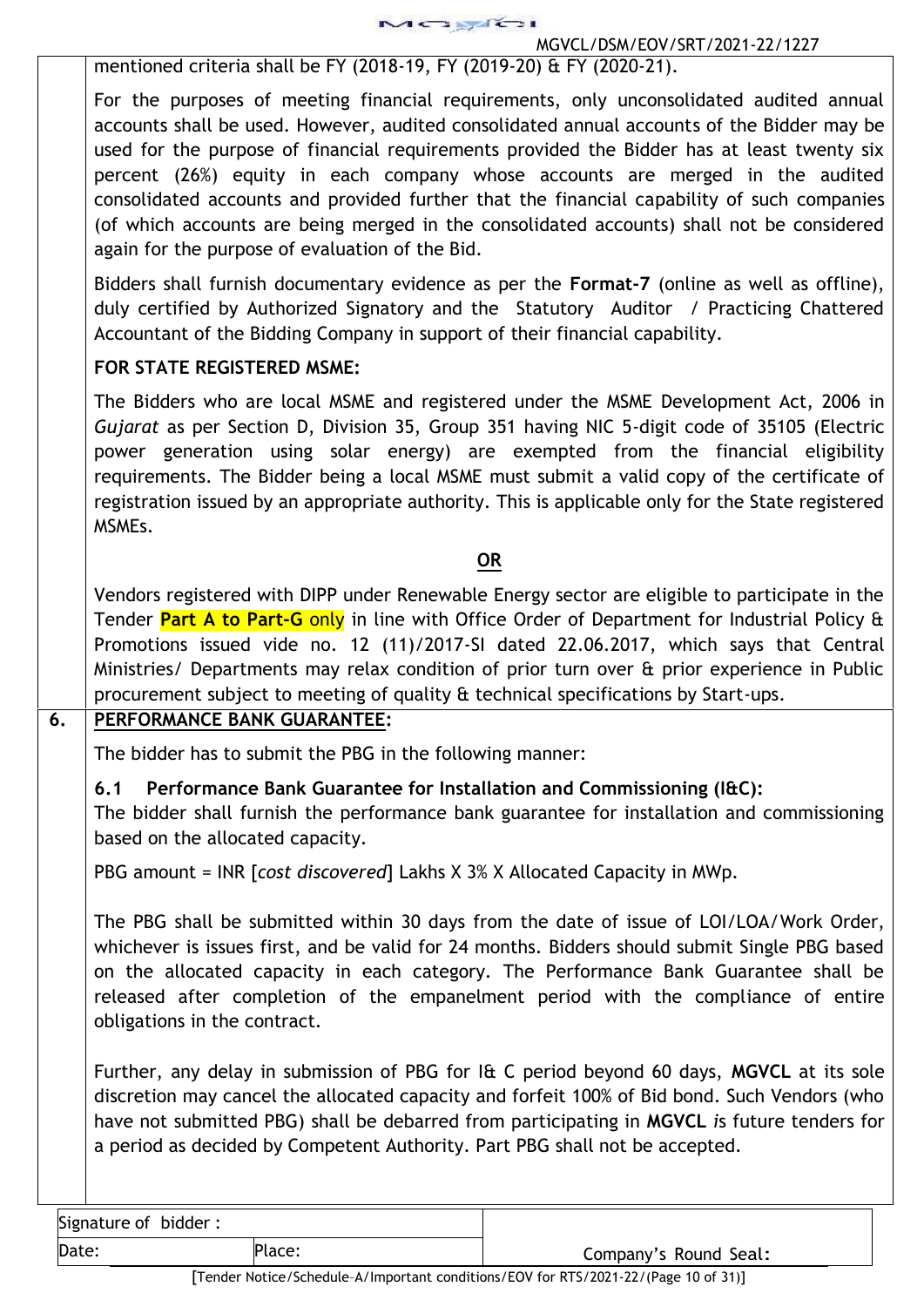

mentioned criteria shall be FY (2018-19, FY (2019-20) & FY (2020-21).

For the purposes of meeting financial requirements, only unconsolidated audited annual accounts shall be used. However, audited consolidated annual accounts of the Bidder may be used for the purpose of financial requirements provided the Bidder has at least twenty six percent (26%) equity in each company whose accounts are merged in the audited consolidated accounts and provided further that the financial capability of such companies (of which accounts are being merged in the consolidated accounts) shall not be considered again for the purpose of evaluation of the Bid.

Bidders shall furnish documentary evidence as per the **Format-7** (online as well as offline), duly certified by Authorized Signatory and the Statutory Auditor / Practicing Chattered Accountant of the Bidding Company in support of their financial capability.

## **FOR STATE REGISTERED MSME:**

The Bidders who are local MSME and registered under the MSME Development Act, 2006 in *Gujarat* as per Section D, Division 35, Group 351 having NIC 5-digit code of 35105 (Electric power generation using solar energy) are exempted from the financial eligibility requirements. The Bidder being a local MSME must submit a valid copy of the certificate of registration issued by an appropriate authority. This is applicable only for the State registered MSMEs.

## **OR**

Vendors registered with DIPP under Renewable Energy sector are eligible to participate in the Tender **Part A to Part-G** only in line with Office Order of Department for Industrial Policy & Promotions issued vide no. 12 (11)/2017-SI dated 22.06.2017, which says that Central Ministries/ Departments may relax condition of prior turn over & prior experience in Public procurement subject to meeting of quality & technical specifications by Start-ups.

# **6. PERFORMANCE BANK GUARANTEE:**

The bidder has to submit the PBG in the following manner:

# **6.1 Performance Bank Guarantee for Installation and Commissioning (I&C):**

The bidder shall furnish the performance bank guarantee for installation and commissioning based on the allocated capacity.

PBG amount = INR [*cost discovered*] Lakhs X 3% X Allocated Capacity in MWp.

The PBG shall be submitted within 30 days from the date of issue of LOI/LOA/Work Order, whichever is issues first, and be valid for 24 months. Bidders should submit Single PBG based on the allocated capacity in each category. The Performance Bank Guarantee shall be released after completion of the empanelment period with the compliance of entire obligations in the contract.

Further, any delay in submission of PBG for I& C period beyond 60 days, **MGVCL** at its sole discretion may cancel the allocated capacity and forfeit 100% of Bid bond. Such Vendors (who have not submitted PBG) shall be debarred from participating in **MGVCL** *i*s future tenders for a period as decided by Competent Authority. Part PBG shall not be accepted.

| Signature of bidder: |  |  |
|----------------------|--|--|
|                      |  |  |

Date: Place: Place: Place: Place: Place: Place: Place: Company's Round Seal: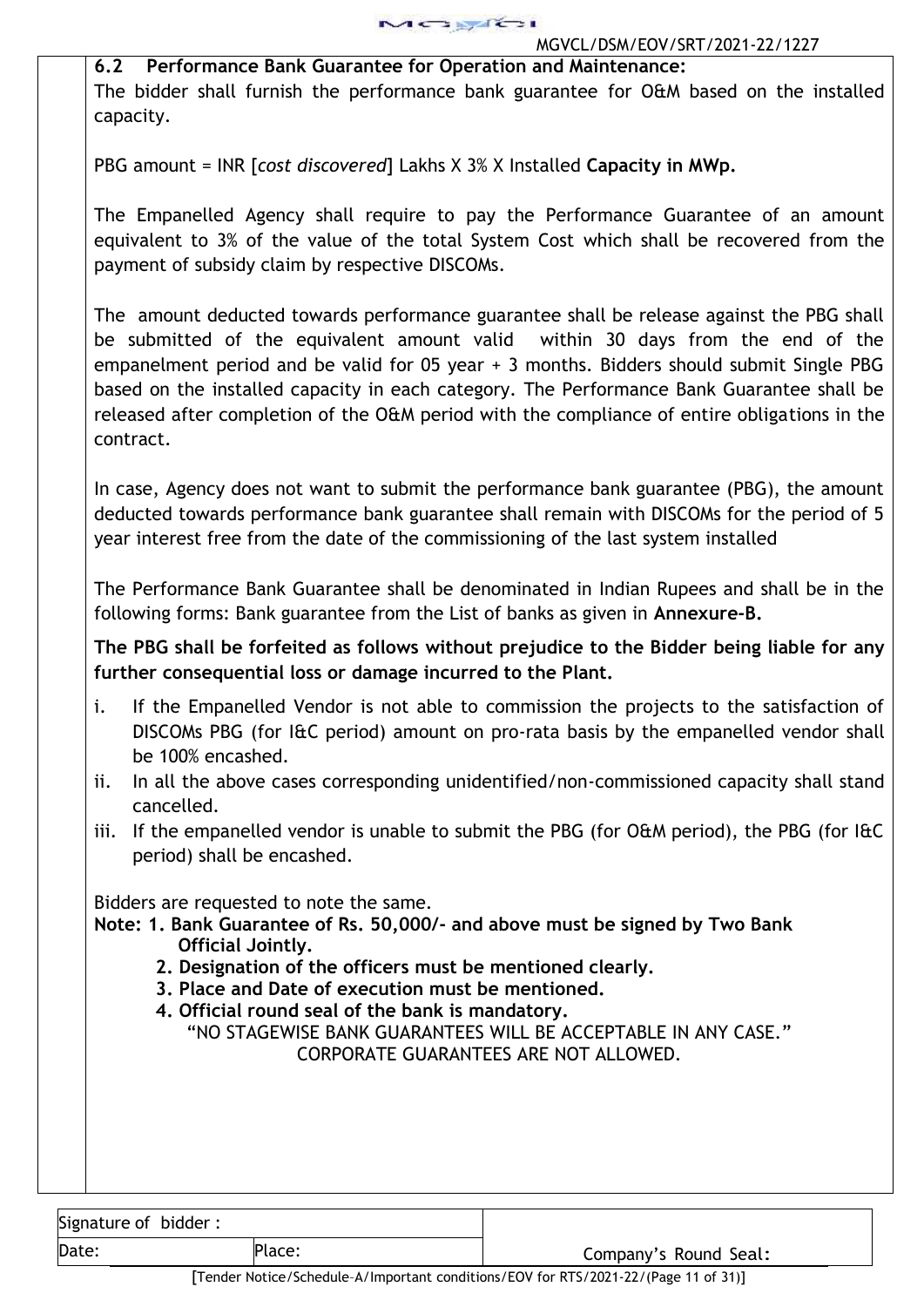**6.2 Performance Bank Guarantee for Operation and Maintenance:** The bidder shall furnish the performance bank guarantee for O&M based on the installed capacity.

PBG amount = INR [*cost discovered*] Lakhs X 3% X Installed **Capacity in MWp.**

The Empanelled Agency shall require to pay the Performance Guarantee of an amount equivalent to 3% of the value of the total System Cost which shall be recovered from the payment of subsidy claim by respective DISCOMs.

The amount deducted towards performance guarantee shall be release against the PBG shall be submitted of the equivalent amount valid within 30 days from the end of the empanelment period and be valid for 05 year + 3 months. Bidders should submit Single PBG based on the installed capacity in each category. The Performance Bank Guarantee shall be released after completion of the O&M period with the compliance of entire obligations in the contract.

In case, Agency does not want to submit the performance bank guarantee (PBG), the amount deducted towards performance bank guarantee shall remain with DISCOMs for the period of 5 year interest free from the date of the commissioning of the last system installed

The Performance Bank Guarantee shall be denominated in Indian Rupees and shall be in the following forms: Bank guarantee from the List of banks as given in **Annexure-B.**

**The PBG shall be forfeited as follows without prejudice to the Bidder being liable for any further consequential loss or damage incurred to the Plant.**

- i. If the Empanelled Vendor is not able to commission the projects to the satisfaction of DISCOMs PBG (for I&C period) amount on pro-rata basis by the empanelled vendor shall be 100% encashed.
- ii. In all the above cases corresponding unidentified/non-commissioned capacity shall stand cancelled.
- iii. If the empanelled vendor is unable to submit the PBG (for O&M period), the PBG (for I&C period) shall be encashed.

Bidders are requested to note the same.

- **Note: 1. Bank Guarantee of Rs. 50,000/- and above must be signed by Two Bank Official Jointly.**
	- **2. Designation of the officers must be mentioned clearly.**
	- **3. Place and Date of execution must be mentioned.**
	- **4. Official round seal of the bank is mandatory.**

"NO STAGEWISE BANK GUARANTEES WILL BE ACCEPTABLE IN ANY CASE." CORPORATE GUARANTEES ARE NOT ALLOWED.

| Signature of bidder: |  |  |
|----------------------|--|--|
|----------------------|--|--|

Date: Place: Place: Place: Company's Round Seal: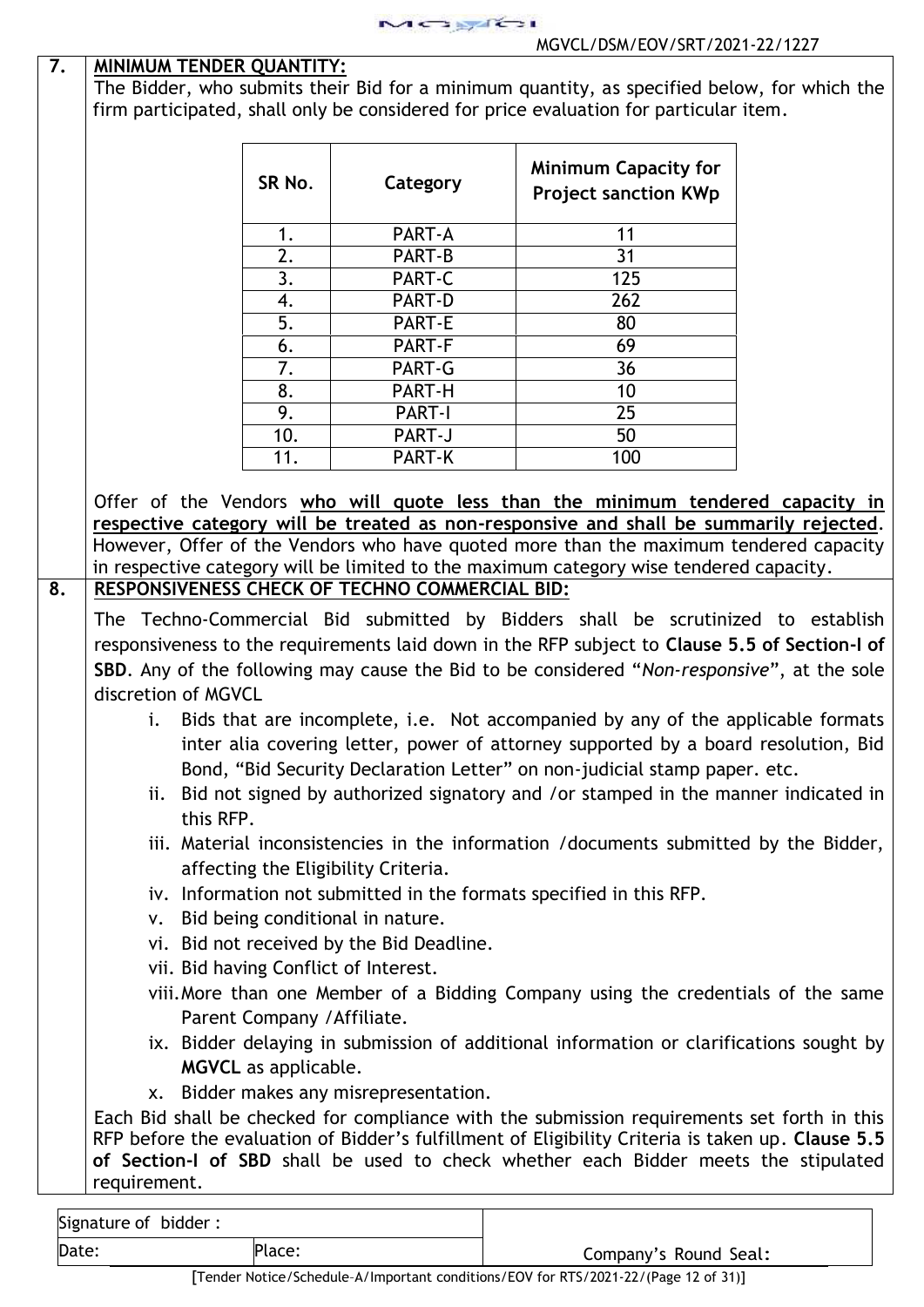| 7. | MINIMUM TENDER QUANTITY:                       |               |                                                                                                                                                                                                                                                                                                                                                                           |  |
|----|------------------------------------------------|---------------|---------------------------------------------------------------------------------------------------------------------------------------------------------------------------------------------------------------------------------------------------------------------------------------------------------------------------------------------------------------------------|--|
|    |                                                |               | The Bidder, who submits their Bid for a minimum quantity, as specified below, for which the                                                                                                                                                                                                                                                                               |  |
|    |                                                |               | firm participated, shall only be considered for price evaluation for particular item.                                                                                                                                                                                                                                                                                     |  |
|    |                                                |               |                                                                                                                                                                                                                                                                                                                                                                           |  |
|    |                                                |               | <b>Minimum Capacity for</b>                                                                                                                                                                                                                                                                                                                                               |  |
|    | SR No.                                         | Category      | <b>Project sanction KWp</b>                                                                                                                                                                                                                                                                                                                                               |  |
|    |                                                |               |                                                                                                                                                                                                                                                                                                                                                                           |  |
|    | 1.                                             | PART-A        | 11                                                                                                                                                                                                                                                                                                                                                                        |  |
|    | 2.                                             | PART-B        | 31                                                                                                                                                                                                                                                                                                                                                                        |  |
|    | 3.                                             | PART-C        | 125                                                                                                                                                                                                                                                                                                                                                                       |  |
|    | 4.                                             | PART-D        | 262                                                                                                                                                                                                                                                                                                                                                                       |  |
|    | 5.                                             | PART-E        | 80                                                                                                                                                                                                                                                                                                                                                                        |  |
|    | 6.                                             | PART-F        | 69                                                                                                                                                                                                                                                                                                                                                                        |  |
|    | 7.                                             | PART-G        | 36                                                                                                                                                                                                                                                                                                                                                                        |  |
|    | 8.                                             | PART-H        | 10                                                                                                                                                                                                                                                                                                                                                                        |  |
|    | 9.                                             | PART-I        | 25                                                                                                                                                                                                                                                                                                                                                                        |  |
|    | 10.                                            | <b>PART-J</b> | 50                                                                                                                                                                                                                                                                                                                                                                        |  |
|    | 11.                                            | PART-K        | 100                                                                                                                                                                                                                                                                                                                                                                       |  |
|    | RESPONSIVENESS CHECK OF TECHNO COMMERCIAL BID: |               | in respective category will be limited to the maximum category wise tendered capacity.<br>The Techno-Commercial Bid submitted by Bidders shall be scrutinized to establish<br>responsiveness to the requirements laid down in the RFP subject to Clause 5.5 of Section-I of<br>SBD. Any of the following may cause the Bid to be considered "Non-responsive", at the sole |  |
|    | discretion of MGVCL<br>$i$ .                   |               | Bids that are incomplete, i.e. Not accompanied by any of the applicable formats<br>inter alia covering letter, power of attorney supported by a board resolution, Bid<br>Bond, "Bid Security Declaration Letter" on non-judicial stamp paper. etc.                                                                                                                        |  |
|    | this RFP.                                      |               | ii. Bid not signed by authorized signatory and /or stamped in the manner indicated in                                                                                                                                                                                                                                                                                     |  |
|    |                                                |               | iii. Material inconsistencies in the information /documents submitted by the Bidder,                                                                                                                                                                                                                                                                                      |  |
|    | affecting the Eligibility Criteria.            |               |                                                                                                                                                                                                                                                                                                                                                                           |  |
|    |                                                |               | iv. Information not submitted in the formats specified in this RFP.                                                                                                                                                                                                                                                                                                       |  |
|    | v. Bid being conditional in nature.            |               |                                                                                                                                                                                                                                                                                                                                                                           |  |
|    | vi. Bid not received by the Bid Deadline.      |               |                                                                                                                                                                                                                                                                                                                                                                           |  |
|    | vii. Bid having Conflict of Interest.          |               |                                                                                                                                                                                                                                                                                                                                                                           |  |
|    |                                                |               | viii. More than one Member of a Bidding Company using the credentials of the same                                                                                                                                                                                                                                                                                         |  |
|    | Parent Company / Affiliate.                    |               |                                                                                                                                                                                                                                                                                                                                                                           |  |
|    |                                                |               | ix. Bidder delaying in submission of additional information or clarifications sought by                                                                                                                                                                                                                                                                                   |  |
|    | <b>MGVCL</b> as applicable.                    |               |                                                                                                                                                                                                                                                                                                                                                                           |  |
|    |                                                |               |                                                                                                                                                                                                                                                                                                                                                                           |  |
|    | x. Bidder makes any misrepresentation.         |               | Each Bid shall be checked for compliance with the submission requirements set forth in this<br>RFP before the evaluation of Bidder's fulfillment of Eligibility Criteria is taken up. Clause 5.5<br>of Section-I of SBD shall be used to check whether each Bidder meets the stipulated                                                                                   |  |

MORTOL

|       |        | $\Gamma$ andar Nation (Cabadula, A Umpertent penditions (EOV for BTC (2024-22 (Degra 42 of 24) I |
|-------|--------|--------------------------------------------------------------------------------------------------|
| Date: | Place: | Company's Round Seal:                                                                            |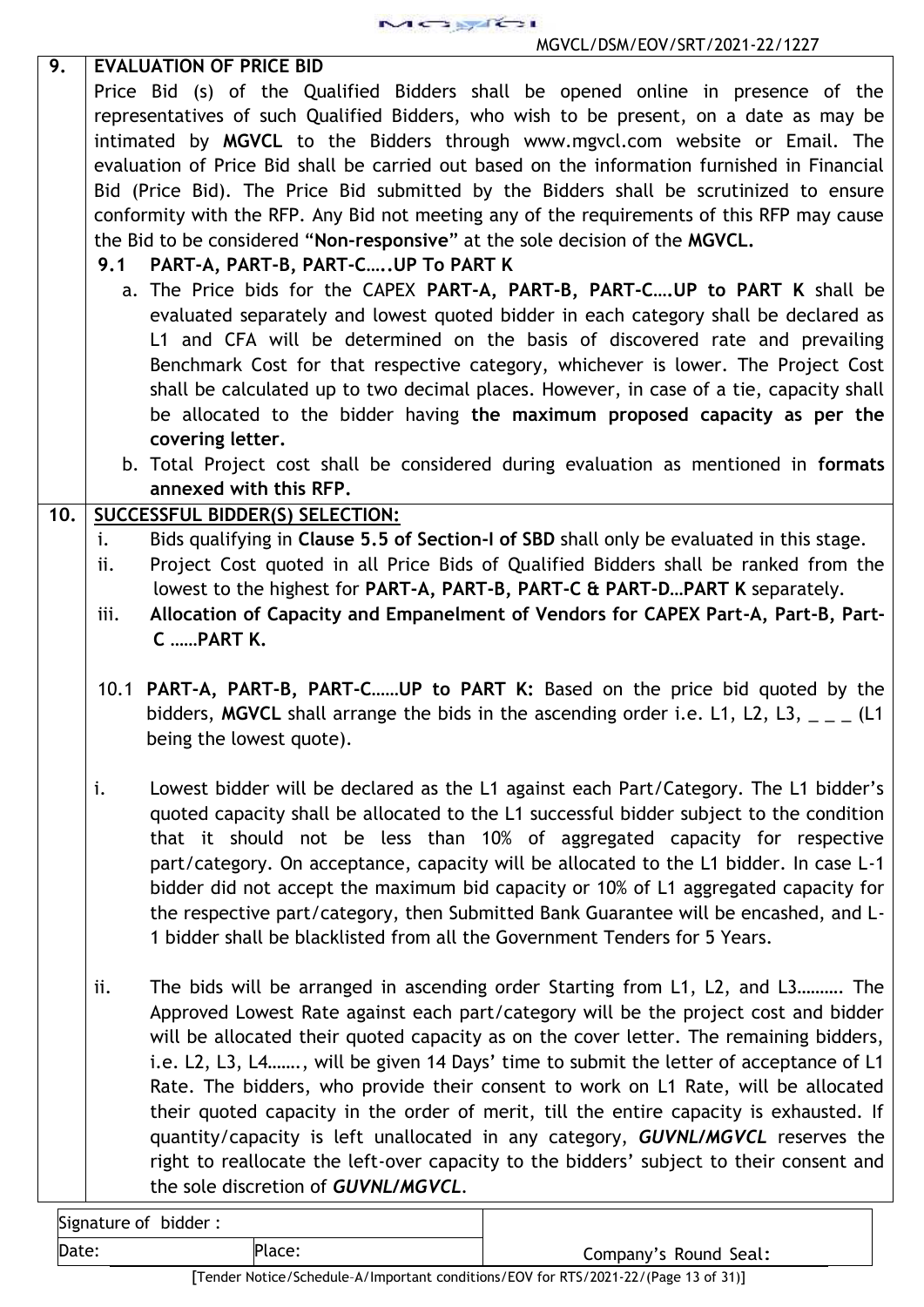Signature of bidder : Date: Place: Place: Place: Company's Round Seal: **9. EVALUATION OF PRICE BID** Price Bid (s) of the Qualified Bidders shall be opened online in presence of the representatives of such Qualified Bidders, who wish to be present, on a date as may be intimated by **MGVCL** to the Bidders through www.mgvcl.com website or Email. The evaluation of Price Bid shall be carried out based on the information furnished in Financial Bid (Price Bid). The Price Bid submitted by the Bidders shall be scrutinized to ensure conformity with the RFP. Any Bid not meeting any of the requirements of this RFP may cause the Bid to be considered "**Non-responsive**" at the sole decision of the **MGVCL. 9.1 PART-A, PART-B, PART-C…..UP To PART K** a. The Price bids for the CAPEX **PART-A, PART-B, PART-C….UP to PART K** shall be evaluated separately and lowest quoted bidder in each category shall be declared as L1 and CFA will be determined on the basis of discovered rate and prevailing Benchmark Cost for that respective category, whichever is lower. The Project Cost shall be calculated up to two decimal places. However, in case of a tie, capacity shall be allocated to the bidder having **the maximum proposed capacity as per the covering letter.** b. Total Project cost shall be considered during evaluation as mentioned in **formats annexed with this RFP. 10. SUCCESSFUL BIDDER(S) SELECTION:** i. Bids qualifying in **Clause 5.5 of Section-I of SBD** shall only be evaluated in this stage. ii. Project Cost quoted in all Price Bids of Qualified Bidders shall be ranked from the lowest to the highest for **PART-A, PART-B, PART-C & PART-D…PART K** separately. iii. **Allocation of Capacity and Empanelment of Vendors for CAPEX Part-A, Part-B, Part- C ……PART K.** 10.1 **PART-A, PART-B, PART-C……UP to PART K:** Based on the price bid quoted by the bidders, MGVCL shall arrange the bids in the ascending order i.e. L1, L2, L3, \_ \_ \_ (L1 being the lowest quote). i. Lowest bidder will be declared as the L1 against each Part/Category. The L1 bidder's quoted capacity shall be allocated to the L1 successful bidder subject to the condition that it should not be less than 10% of aggregated capacity for respective part/category. On acceptance, capacity will be allocated to the L1 bidder. In case L-1 bidder did not accept the maximum bid capacity or 10% of L1 aggregated capacity for the respective part/category, then Submitted Bank Guarantee will be encashed, and L- 1 bidder shall be blacklisted from all the Government Tenders for 5 Years. ii. The bids will be arranged in ascending order Starting from L1, L2, and L3………. The Approved Lowest Rate against each part/category will be the project cost and bidder will be allocated their quoted capacity as on the cover letter. The remaining bidders, i.e. L2, L3, L4……., will be given 14 Days' time to submit the letter of acceptance of L1 Rate. The bidders, who provide their consent to work on L1 Rate, will be allocated their quoted capacity in the order of merit, till the entire capacity is exhausted. If quantity/capacity is left unallocated in any category, *GUVNL/MGVCL* reserves the right to reallocate the left-over capacity to the bidders' subject to their consent and the sole discretion of *GUVNL/MGVCL.*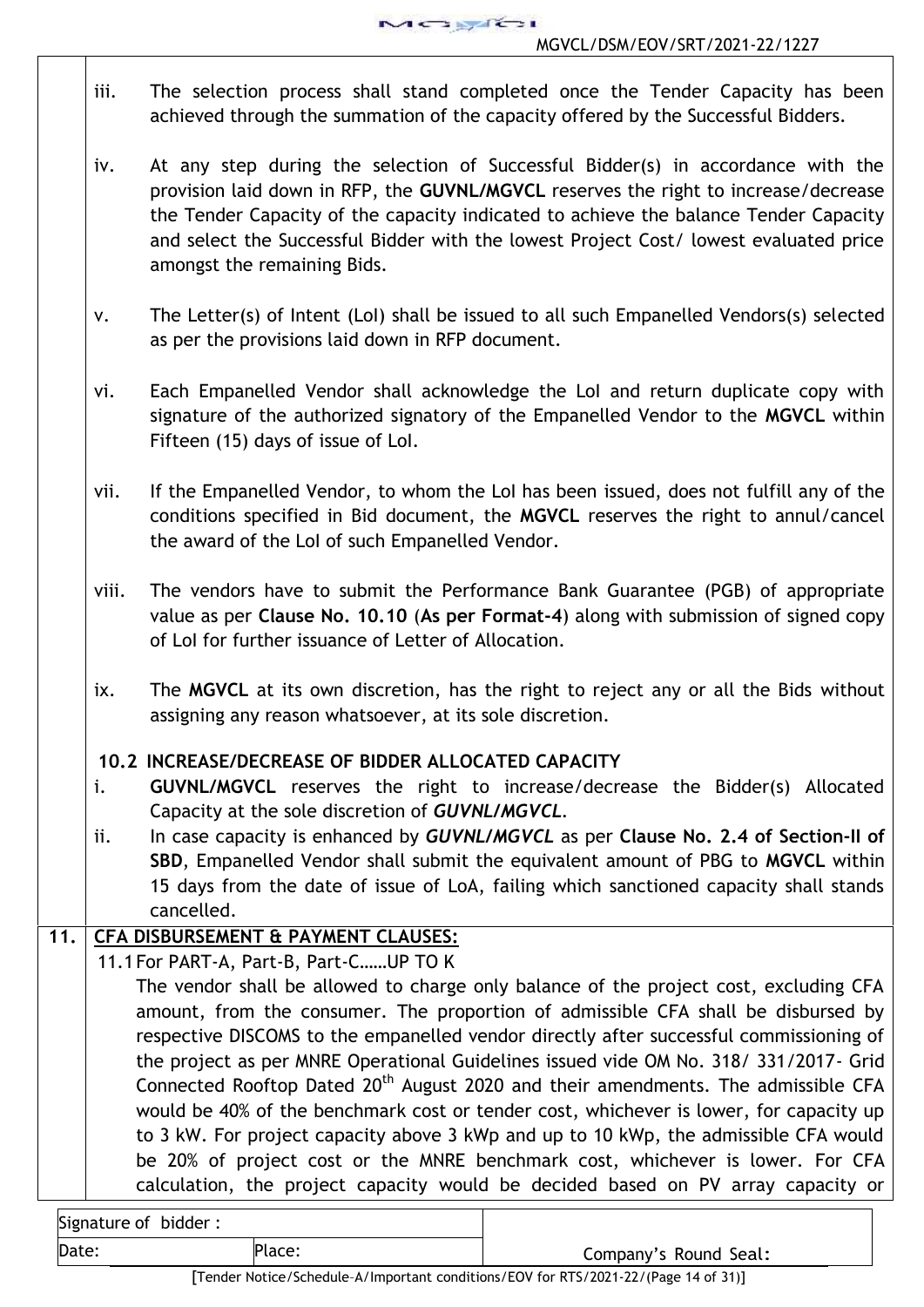

- iii. The selection process shall stand completed once the Tender Capacity has been achieved through the summation of the capacity offered by the Successful Bidders.
- iv. At any step during the selection of Successful Bidder(s) in accordance with the provision laid down in RFP, the **GUVNL/MGVCL** reserves the right to increase/decrease the Tender Capacity of the capacity indicated to achieve the balance Tender Capacity and select the Successful Bidder with the lowest Project Cost/ lowest evaluated price amongst the remaining Bids.
- v. The Letter(s) of Intent (LoI) shall be issued to all such Empanelled Vendors(s) selected as per the provisions laid down in RFP document.
- vi. Each Empanelled Vendor shall acknowledge the LoI and return duplicate copy with signature of the authorized signatory of the Empanelled Vendor to the **MGVCL** within Fifteen (15) days of issue of LoI.
- vii. If the Empanelled Vendor, to whom the LoI has been issued, does not fulfill any of the conditions specified in Bid document, the **MGVCL** reserves the right to annul/cancel the award of the LoI of such Empanelled Vendor.
- viii. The vendors have to submit the Performance Bank Guarantee (PGB) of appropriate value as per **Clause No. 10.10** (**As per Format-4**) along with submission of signed copy of LoI for further issuance of Letter of Allocation.
- ix. The **MGVCL** at its own discretion, has the right to reject any or all the Bids without assigning any reason whatsoever, at its sole discretion.

# **10.2 INCREASE/DECREASE OF BIDDER ALLOCATED CAPACITY**

- i. **GUVNL/MGVCL** reserves the right to increase/decrease the Bidder(s) Allocated Capacity at the sole discretion of *GUVNL/MGVCL.*
- ii. In case capacity is enhanced by *GUVNL/MGVCL* as per **Clause No. 2.4 of Section-II of SBD**, Empanelled Vendor shall submit the equivalent amount of PBG to **MGVCL** within 15 days from the date of issue of LoA, failing which sanctioned capacity shall stands cancelled.

# **11. CFA DISBURSEMENT & PAYMENT CLAUSES:**

11.1For PART-A, Part-B, Part-C……UP TO K

The vendor shall be allowed to charge only balance of the project cost, excluding CFA amount, from the consumer. The proportion of admissible CFA shall be disbursed by respective DISCOMS to the empanelled vendor directly after successful commissioning of the project as per MNRE Operational Guidelines issued vide OM No. 318/ 331/2017- Grid Connected Rooftop Dated 20<sup>th</sup> August 2020 and their amendments. The admissible CFA would be 40% of the benchmark cost or tender cost, whichever is lower, for capacity up to 3 kW. For project capacity above 3 kWp and up to 10 kWp, the admissible CFA would be 20% of project cost or the MNRE benchmark cost, whichever is lower. For CFA calculation, the project capacity would be decided based on PV array capacity or

| Signature of bidder: |                      |
|----------------------|----------------------|
| 'Date                | $Plarc$ <sup>.</sup> |

Company's Round Seal: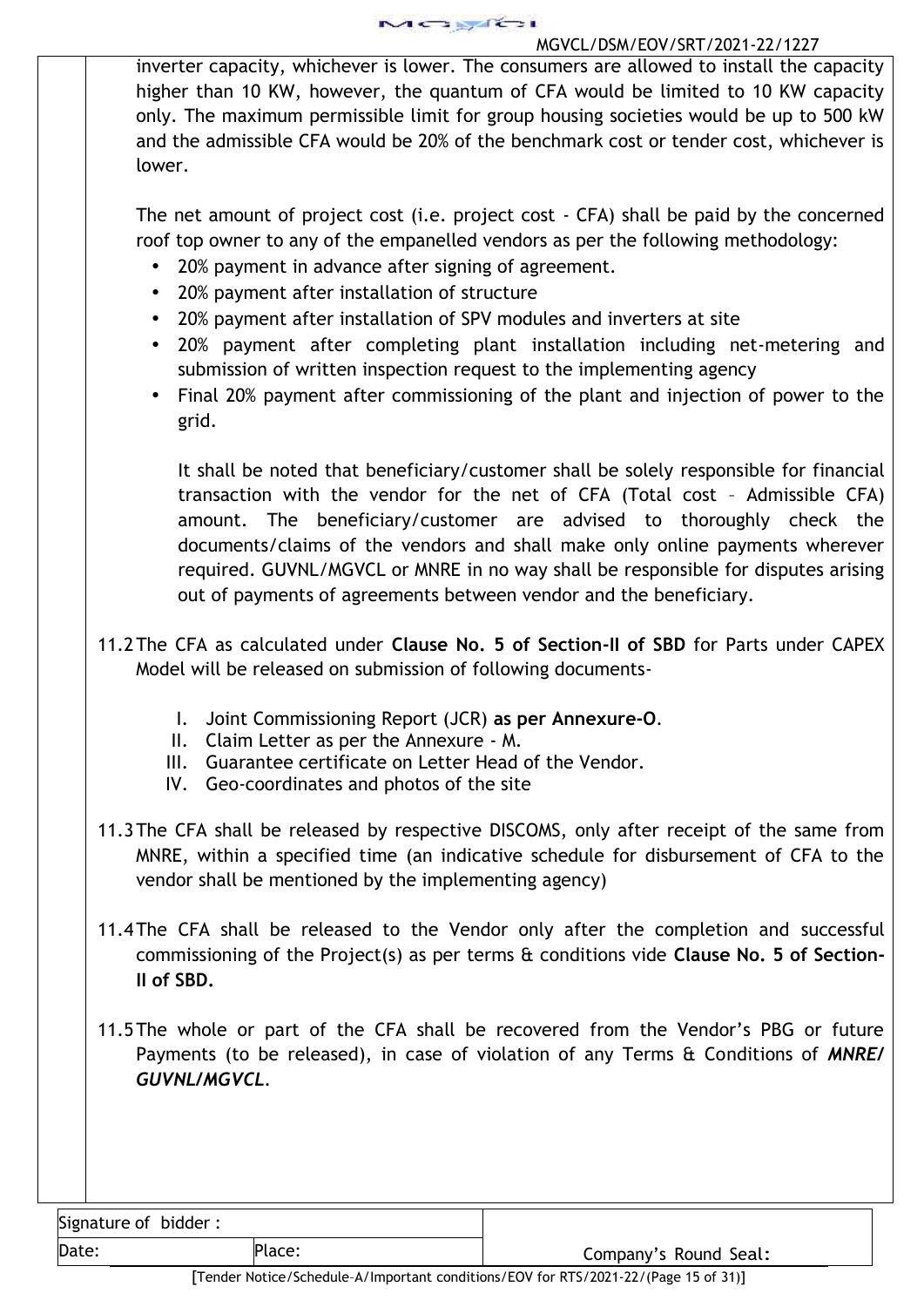inverter capacity, whichever is lower. The consumers are allowed to install the capacity higher than 10 KW, however, the quantum of CFA would be limited to 10 KW capacity only. The maximum permissible limit for group housing societies would be up to 500 kW and the admissible CFA would be 20% of the benchmark cost or tender cost, whichever is lower.

The net amount of project cost (i.e. project cost - CFA) shall be paid by the concerned roof top owner to any of the empanelled vendors as per the following methodology:

- 20% payment in advance after signing of agreement.
- 20% payment after installation of structure
- 20% payment after installation of SPV modules and inverters at site
- 20% payment after completing plant installation including net-metering and submission of written inspection request to the implementing agency
- Final 20% payment after commissioning of the plant and injection of power to the grid.

It shall be noted that beneficiary/customer shall be solely responsible for financial transaction with the vendor for the net of CFA (Total cost – Admissible CFA) amount. The beneficiary/customer are advised to thoroughly check the documents/claims of the vendors and shall make only online payments wherever required. GUVNL/MGVCL or MNRE in no way shall be responsible for disputes arising out of payments of agreements between vendor and the beneficiary.

- 11.2The CFA as calculated under **Clause No. 5 of Section-II of SBD** for Parts under CAPEX Model will be released on submission of following documents-
	- I. Joint Commissioning Report (JCR) **as per Annexure-O**.
	- II. Claim Letter as per the Annexure M.
	- III. Guarantee certificate on Letter Head of the Vendor.
	- IV. Geo-coordinates and photos of the site
- 11.3The CFA shall be released by respective DISCOMS, only after receipt of the same from MNRE, within a specified time (an indicative schedule for disbursement of CFA to the vendor shall be mentioned by the implementing agency)
- 11.4The CFA shall be released to the Vendor only after the completion and successful commissioning of the Project(s) as per terms & conditions vide **Clause No. 5 of Section-II of SBD.**
- 11.5The whole or part of the CFA shall be recovered from the Vendor's PBG or future Payments (to be released), in case of violation of any Terms & Conditions of *MNRE/ GUVNL/MGVCL.*

Signature of bidder :

Date: Place: Place: Place: Company's Round Seal: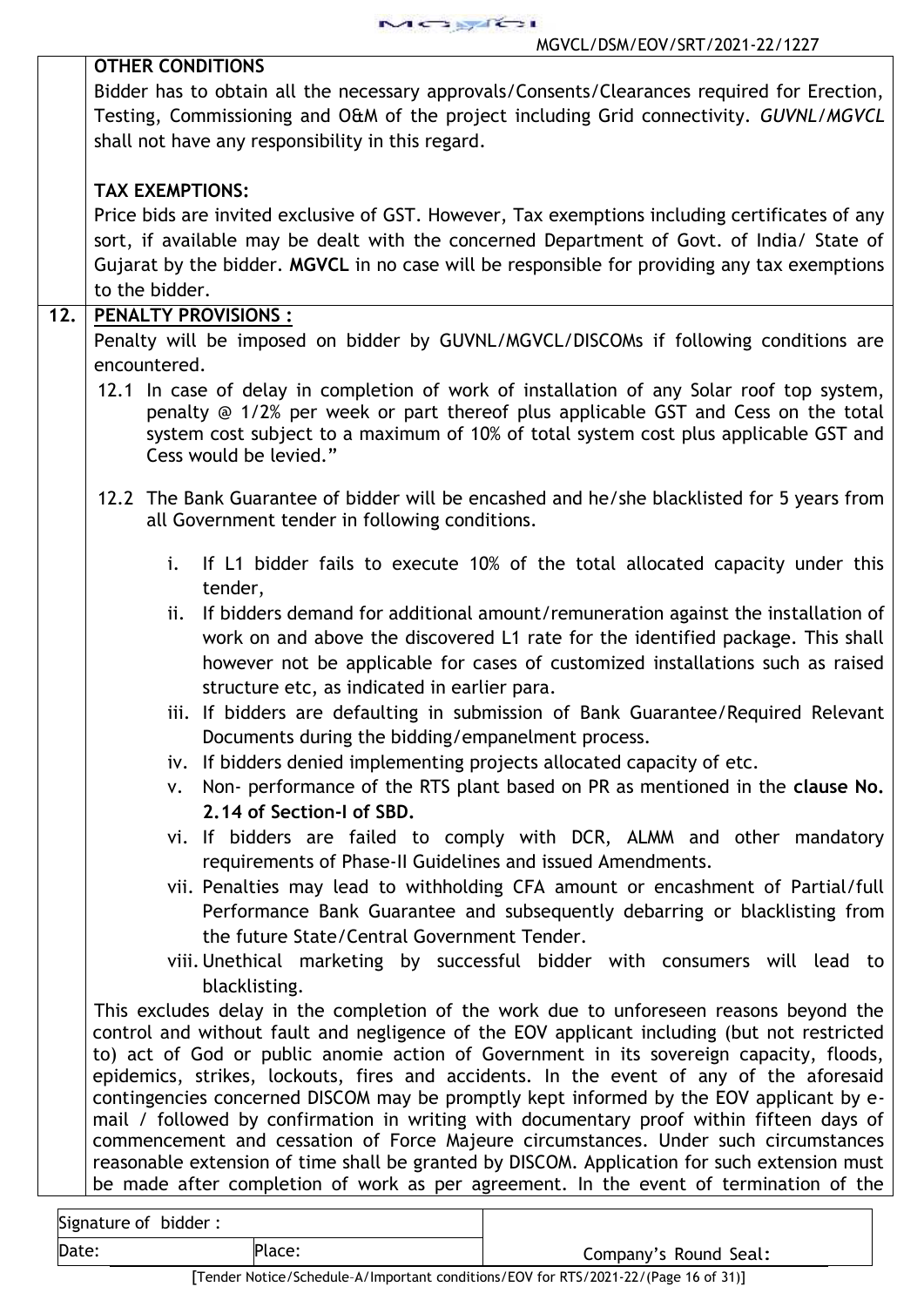MOSTE

|     | <u>MOVCE/ DJMY LOV/JNT/Z0ZT-ZZ/TZZ/</u>                                                                                                                                                                                                                                                          |
|-----|--------------------------------------------------------------------------------------------------------------------------------------------------------------------------------------------------------------------------------------------------------------------------------------------------|
|     | <b>OTHER CONDITIONS</b>                                                                                                                                                                                                                                                                          |
|     | Bidder has to obtain all the necessary approvals/Consents/Clearances required for Erection,                                                                                                                                                                                                      |
|     | Testing, Commissioning and O&M of the project including Grid connectivity. GUVNL/MGVCL                                                                                                                                                                                                           |
|     | shall not have any responsibility in this regard.                                                                                                                                                                                                                                                |
|     | <b>TAX EXEMPTIONS:</b>                                                                                                                                                                                                                                                                           |
|     | Price bids are invited exclusive of GST. However, Tax exemptions including certificates of any                                                                                                                                                                                                   |
|     | sort, if available may be dealt with the concerned Department of Govt. of India/ State of                                                                                                                                                                                                        |
|     | Gujarat by the bidder. MGVCL in no case will be responsible for providing any tax exemptions                                                                                                                                                                                                     |
|     | to the bidder.                                                                                                                                                                                                                                                                                   |
| 12. | <b>PENALTY PROVISIONS:</b>                                                                                                                                                                                                                                                                       |
|     | Penalty will be imposed on bidder by GUVNL/MGVCL/DISCOMs if following conditions are                                                                                                                                                                                                             |
|     | encountered.                                                                                                                                                                                                                                                                                     |
|     | 12.1 In case of delay in completion of work of installation of any Solar roof top system,<br>penalty @ 1/2% per week or part thereof plus applicable GST and Cess on the total<br>system cost subject to a maximum of 10% of total system cost plus applicable GST and<br>Cess would be levied." |
|     | 12.2 The Bank Guarantee of bidder will be encashed and he/she blacklisted for 5 years from<br>all Government tender in following conditions.                                                                                                                                                     |
|     | i.<br>If L1 bidder fails to execute 10% of the total allocated capacity under this<br>tender,                                                                                                                                                                                                    |
|     | If bidders demand for additional amount/remuneration against the installation of<br>ii.                                                                                                                                                                                                          |
|     | work on and above the discovered L1 rate for the identified package. This shall                                                                                                                                                                                                                  |
|     | however not be applicable for cases of customized installations such as raised                                                                                                                                                                                                                   |
|     | structure etc, as indicated in earlier para.                                                                                                                                                                                                                                                     |
|     | iii. If bidders are defaulting in submission of Bank Guarantee/Required Relevant                                                                                                                                                                                                                 |
|     | Documents during the bidding/empanelment process.                                                                                                                                                                                                                                                |
|     | iv. If bidders denied implementing projects allocated capacity of etc.                                                                                                                                                                                                                           |
|     | v. Non- performance of the RTS plant based on PR as mentioned in the clause No.                                                                                                                                                                                                                  |
|     | 2.14 of Section-I of SBD.                                                                                                                                                                                                                                                                        |
|     | vi. If bidders are failed to comply with DCR, ALMM and other mandatory<br>requirements of Phase-II Guidelines and issued Amendments.                                                                                                                                                             |
|     | vii. Penalties may lead to withholding CFA amount or encashment of Partial/full                                                                                                                                                                                                                  |
|     | Performance Bank Guarantee and subsequently debarring or blacklisting from                                                                                                                                                                                                                       |
|     | the future State/Central Government Tender.                                                                                                                                                                                                                                                      |
|     | viii. Unethical marketing by successful bidder with consumers will lead to                                                                                                                                                                                                                       |
|     | blacklisting.                                                                                                                                                                                                                                                                                    |
|     | This excludes delay in the completion of the work due to unforeseen reasons beyond the                                                                                                                                                                                                           |
|     | control and without fault and negligence of the EOV applicant including (but not restricted                                                                                                                                                                                                      |
|     | to) act of God or public anomie action of Government in its sovereign capacity, floods,                                                                                                                                                                                                          |
|     | epidemics, strikes, lockouts, fires and accidents. In the event of any of the aforesaid                                                                                                                                                                                                          |
|     | contingencies concerned DISCOM may be promptly kept informed by the EOV applicant by e-<br>mail / followed by confirmation in writing with documentary proof within fifteen days of                                                                                                              |
|     | commencement and cessation of Force Majeure circumstances. Under such circumstances                                                                                                                                                                                                              |
|     | reasonable extension of time shall be granted by DISCOM. Application for such extension must                                                                                                                                                                                                     |
|     | be made after completion of work as per agreement. In the event of termination of the                                                                                                                                                                                                            |
|     |                                                                                                                                                                                                                                                                                                  |
|     | Signature of bidder:                                                                                                                                                                                                                                                                             |

Date: Place: Place: Place: Company's Round Seal: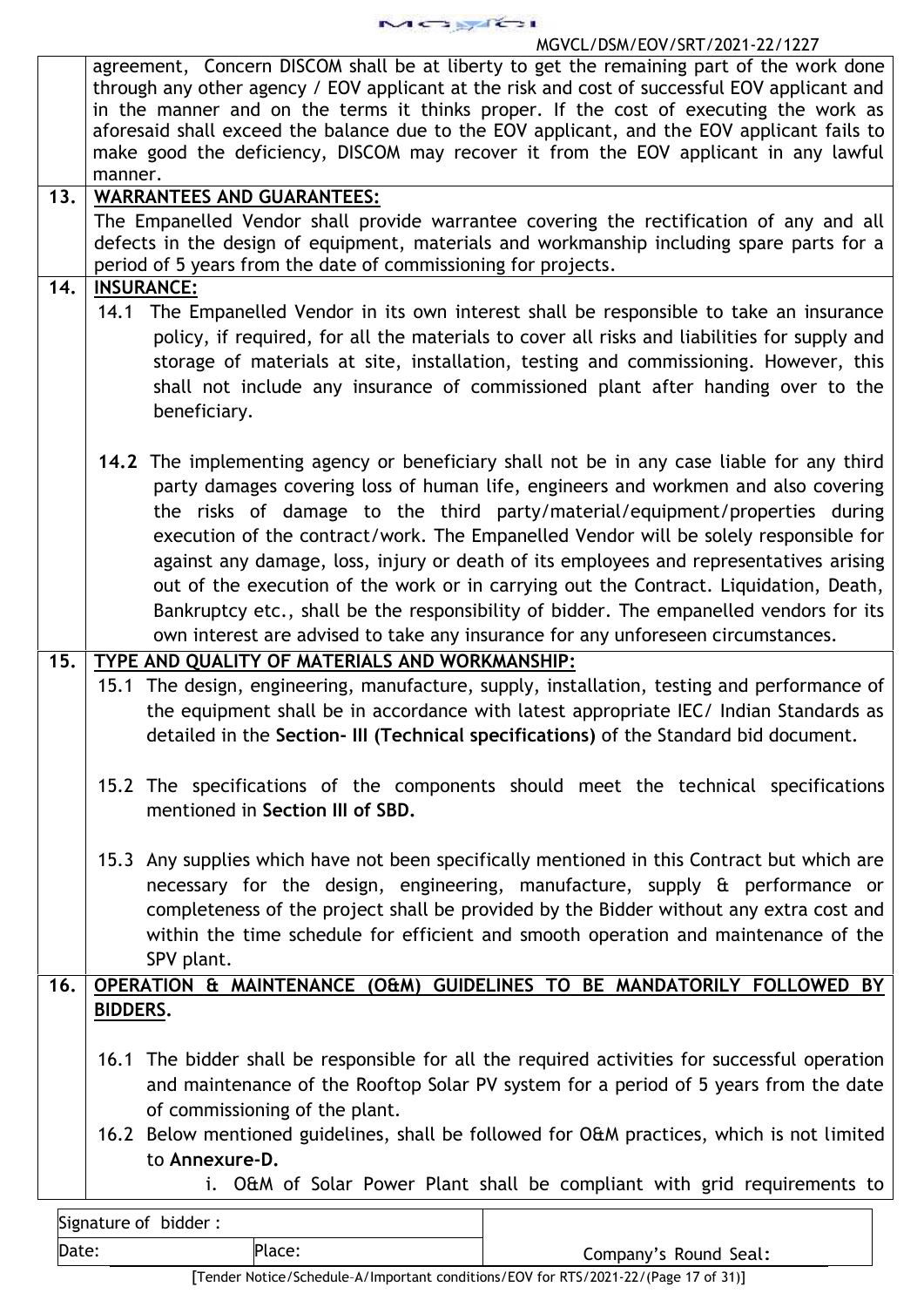MOJAGI

## MGVCL/DSM/EOV/SRT/2021-22/1227

|       | agreement, Concern DISCOM shall be at liberty to get the remaining part of the work done<br>through any other agency / EOV applicant at the risk and cost of successful EOV applicant and<br>in the manner and on the terms it thinks proper. If the cost of executing the work as<br>aforesaid shall exceed the balance due to the EOV applicant, and the EOV applicant fails to<br>make good the deficiency, DISCOM may recover it from the EOV applicant in any lawful<br>manner.                                                                                                                                                                                                                                    |
|-------|-------------------------------------------------------------------------------------------------------------------------------------------------------------------------------------------------------------------------------------------------------------------------------------------------------------------------------------------------------------------------------------------------------------------------------------------------------------------------------------------------------------------------------------------------------------------------------------------------------------------------------------------------------------------------------------------------------------------------|
| 13.   | <b>WARRANTEES AND GUARANTEES:</b>                                                                                                                                                                                                                                                                                                                                                                                                                                                                                                                                                                                                                                                                                       |
|       |                                                                                                                                                                                                                                                                                                                                                                                                                                                                                                                                                                                                                                                                                                                         |
|       | The Empanelled Vendor shall provide warrantee covering the rectification of any and all<br>defects in the design of equipment, materials and workmanship including spare parts for a<br>period of 5 years from the date of commissioning for projects.                                                                                                                                                                                                                                                                                                                                                                                                                                                                  |
| 14.   | <b>INSURANCE:</b>                                                                                                                                                                                                                                                                                                                                                                                                                                                                                                                                                                                                                                                                                                       |
|       | 14.1 The Empanelled Vendor in its own interest shall be responsible to take an insurance<br>policy, if required, for all the materials to cover all risks and liabilities for supply and<br>storage of materials at site, installation, testing and commissioning. However, this<br>shall not include any insurance of commissioned plant after handing over to the<br>beneficiary.                                                                                                                                                                                                                                                                                                                                     |
|       | 14.2 The implementing agency or beneficiary shall not be in any case liable for any third<br>party damages covering loss of human life, engineers and workmen and also covering<br>the risks of damage to the third party/material/equipment/properties during<br>execution of the contract/work. The Empanelled Vendor will be solely responsible for<br>against any damage, loss, injury or death of its employees and representatives arising<br>out of the execution of the work or in carrying out the Contract. Liquidation, Death,<br>Bankruptcy etc., shall be the responsibility of bidder. The empanelled vendors for its<br>own interest are advised to take any insurance for any unforeseen circumstances. |
| 15.   | TYPE AND QUALITY OF MATERIALS AND WORKMANSHIP:                                                                                                                                                                                                                                                                                                                                                                                                                                                                                                                                                                                                                                                                          |
|       | 15.1 The design, engineering, manufacture, supply, installation, testing and performance of<br>the equipment shall be in accordance with latest appropriate IEC/ Indian Standards as<br>detailed in the Section- III (Technical specifications) of the Standard bid document.                                                                                                                                                                                                                                                                                                                                                                                                                                           |
|       | 15.2 The specifications of the components should meet the technical specifications<br>mentioned in Section III of SBD.                                                                                                                                                                                                                                                                                                                                                                                                                                                                                                                                                                                                  |
|       | 15.3 Any supplies which have not been specifically mentioned in this Contract but which are<br>necessary for the design, engineering, manufacture, supply & performance or<br>completeness of the project shall be provided by the Bidder without any extra cost and<br>within the time schedule for efficient and smooth operation and maintenance of the<br>SPV plant.                                                                                                                                                                                                                                                                                                                                                |
| 16.   | OPERATION & MAINTENANCE (O&M) GUIDELINES TO BE MANDATORILY FOLLOWED BY                                                                                                                                                                                                                                                                                                                                                                                                                                                                                                                                                                                                                                                  |
|       | <b>BIDDERS.</b>                                                                                                                                                                                                                                                                                                                                                                                                                                                                                                                                                                                                                                                                                                         |
|       | 16.1 The bidder shall be responsible for all the required activities for successful operation<br>and maintenance of the Rooftop Solar PV system for a period of 5 years from the date<br>of commissioning of the plant.                                                                                                                                                                                                                                                                                                                                                                                                                                                                                                 |
|       | 16.2 Below mentioned guidelines, shall be followed for O&M practices, which is not limited<br>to Annexure-D.                                                                                                                                                                                                                                                                                                                                                                                                                                                                                                                                                                                                            |
|       | i. O&M of Solar Power Plant shall be compliant with grid requirements to                                                                                                                                                                                                                                                                                                                                                                                                                                                                                                                                                                                                                                                |
|       | Signature of bidder:                                                                                                                                                                                                                                                                                                                                                                                                                                                                                                                                                                                                                                                                                                    |
| Date: | Place:<br>Company's Round Seal:                                                                                                                                                                                                                                                                                                                                                                                                                                                                                                                                                                                                                                                                                         |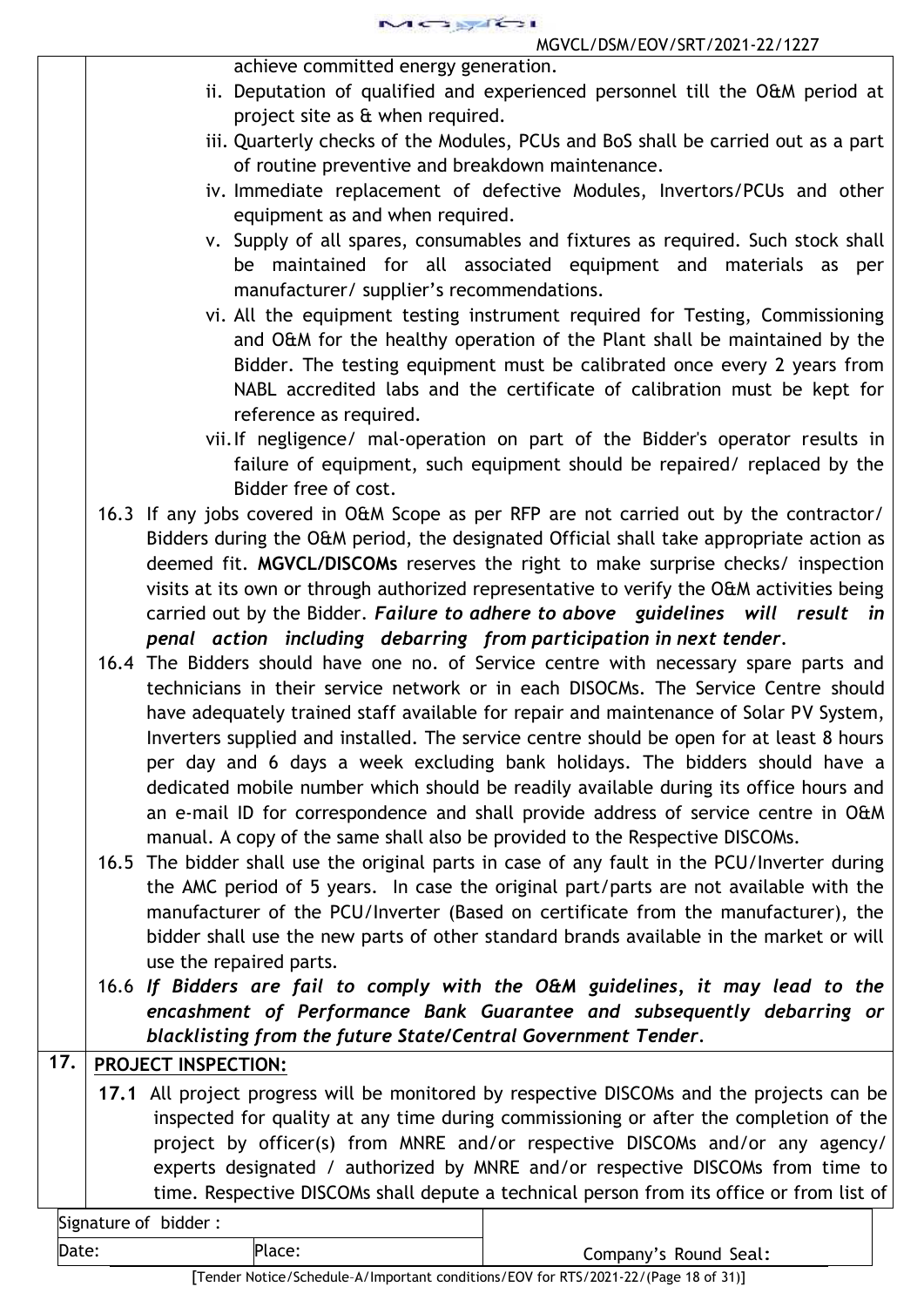achieve committed energy generation.

- ii. Deputation of qualified and experienced personnel till the O&M period at project site as & when required.
- iii. Quarterly checks of the Modules, PCUs and BoS shall be carried out as a part of routine preventive and breakdown maintenance.
- iv. Immediate replacement of defective Modules, Invertors/PCUs and other equipment as and when required.
- v. Supply of all spares, consumables and fixtures as required. Such stock shall be maintained for all associated equipment and materials as per manufacturer/ supplier's recommendations.
- vi. All the equipment testing instrument required for Testing, Commissioning and O&M for the healthy operation of the Plant shall be maintained by the Bidder. The testing equipment must be calibrated once every 2 years from NABL accredited labs and the certificate of calibration must be kept for reference as required.
- vii.If negligence/ mal-operation on part of the Bidder's operator results in failure of equipment, such equipment should be repaired/ replaced by the Bidder free of cost.
- 16.3 If any jobs covered in O&M Scope as per RFP are not carried out by the contractor/ Bidders during the O&M period, the designated Official shall take appropriate action as deemed fit. **MGVCL/DISCOMs** reserves the right to make surprise checks/ inspection visits at its own or through authorized representative to verify the O&M activities being carried out by the Bidder. *Failure to adhere to above guidelines will result in penal action including debarring from participation in next tender.*
- 16.4 The Bidders should have one no. of Service centre with necessary spare parts and technicians in their service network or in each DISOCMs. The Service Centre should have adequately trained staff available for repair and maintenance of Solar PV System, Inverters supplied and installed. The service centre should be open for at least 8 hours per day and 6 days a week excluding bank holidays. The bidders should have a dedicated mobile number which should be readily available during its office hours and an e-mail ID for correspondence and shall provide address of service centre in O&M manual. A copy of the same shall also be provided to the Respective DISCOMs.
- 16.5 The bidder shall use the original parts in case of any fault in the PCU/Inverter during the AMC period of 5 years. In case the original part/parts are not available with the manufacturer of the PCU/Inverter (Based on certificate from the manufacturer), the bidder shall use the new parts of other standard brands available in the market or will use the repaired parts.
- 16.6 *If Bidders are fail to comply with the O&M guidelines, it may lead to the encashment of Performance Bank Guarantee and subsequently debarring or blacklisting from the future State/Central Government Tender.*

# **17. PROJECT INSPECTION:**

**17.1** All project progress will be monitored by respective DISCOMs and the projects can be inspected for quality at any time during commissioning or after the completion of the project by officer(s) from MNRE and/or respective DISCOMs and/or any agency/ experts designated / authorized by MNRE and/or respective DISCOMs from time to time. Respective DISCOMs shall depute a technical person from its office or from list of

| Signature of bidder: |  |
|----------------------|--|

Date: Place: Place: Place: Place: Place: Place: Place: Company's Round Seal: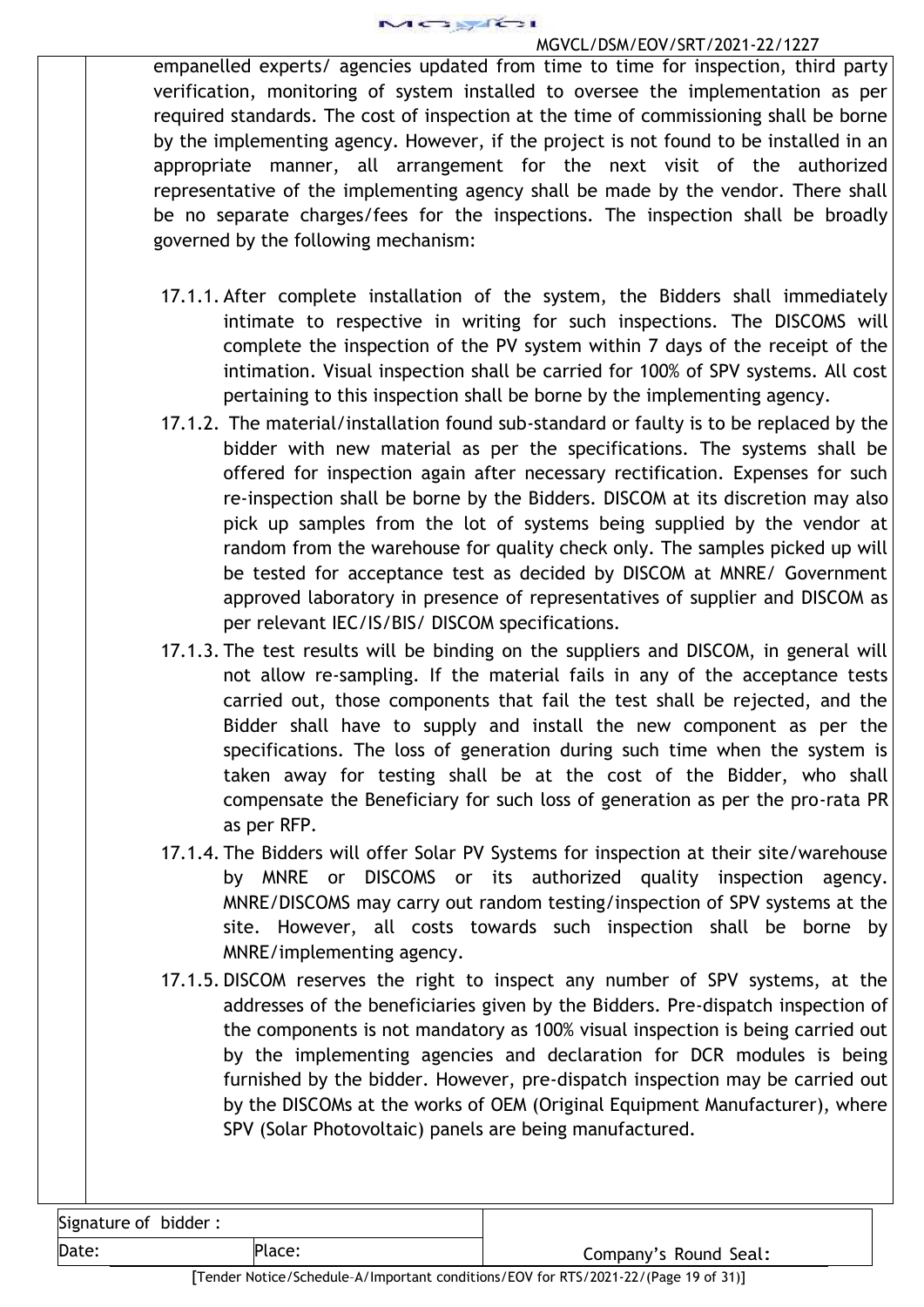

empanelled experts/ agencies updated from time to time for inspection, third party verification, monitoring of system installed to oversee the implementation as per required standards. The cost of inspection at the time of commissioning shall be borne by the implementing agency. However, if the project is not found to be installed in an appropriate manner, all arrangement for the next visit of the authorized representative of the implementing agency shall be made by the vendor. There shall be no separate charges/fees for the inspections. The inspection shall be broadly governed by the following mechanism:

- 17.1.1. After complete installation of the system, the Bidders shall immediately intimate to respective in writing for such inspections. The DISCOMS will complete the inspection of the PV system within 7 days of the receipt of the intimation. Visual inspection shall be carried for 100% of SPV systems. All cost pertaining to this inspection shall be borne by the implementing agency.
- 17.1.2. The material/installation found sub-standard or faulty is to be replaced by the bidder with new material as per the specifications. The systems shall be offered for inspection again after necessary rectification. Expenses for such re-inspection shall be borne by the Bidders. DISCOM at its discretion may also pick up samples from the lot of systems being supplied by the vendor at random from the warehouse for quality check only. The samples picked up will be tested for acceptance test as decided by DISCOM at MNRE/ Government approved laboratory in presence of representatives of supplier and DISCOM as per relevant IEC/IS/BIS/ DISCOM specifications.
- 17.1.3. The test results will be binding on the suppliers and DISCOM, in general will not allow re-sampling. If the material fails in any of the acceptance tests carried out, those components that fail the test shall be rejected, and the Bidder shall have to supply and install the new component as per the specifications. The loss of generation during such time when the system is taken away for testing shall be at the cost of the Bidder, who shall compensate the Beneficiary for such loss of generation as per the pro-rata PR as per RFP.
- 17.1.4. The Bidders will offer Solar PV Systems for inspection at their site/warehouse by MNRE or DISCOMS or its authorized quality inspection agency. MNRE/DISCOMS may carry out random testing/inspection of SPV systems at the site. However, all costs towards such inspection shall be borne by MNRE/implementing agency.
- 17.1.5. DISCOM reserves the right to inspect any number of SPV systems, at the addresses of the beneficiaries given by the Bidders. Pre-dispatch inspection of the components is not mandatory as 100% visual inspection is being carried out by the implementing agencies and declaration for DCR modules is being furnished by the bidder. However, pre-dispatch inspection may be carried out by the DISCOMs at the works of OEM (Original Equipment Manufacturer), where SPV (Solar Photovoltaic) panels are being manufactured.

| Signature of bidder: |  |
|----------------------|--|
| $D_{2}+2$            |  |

Date: Place: Place: Place: Place: Place: Place: Place: Company's Round Seal: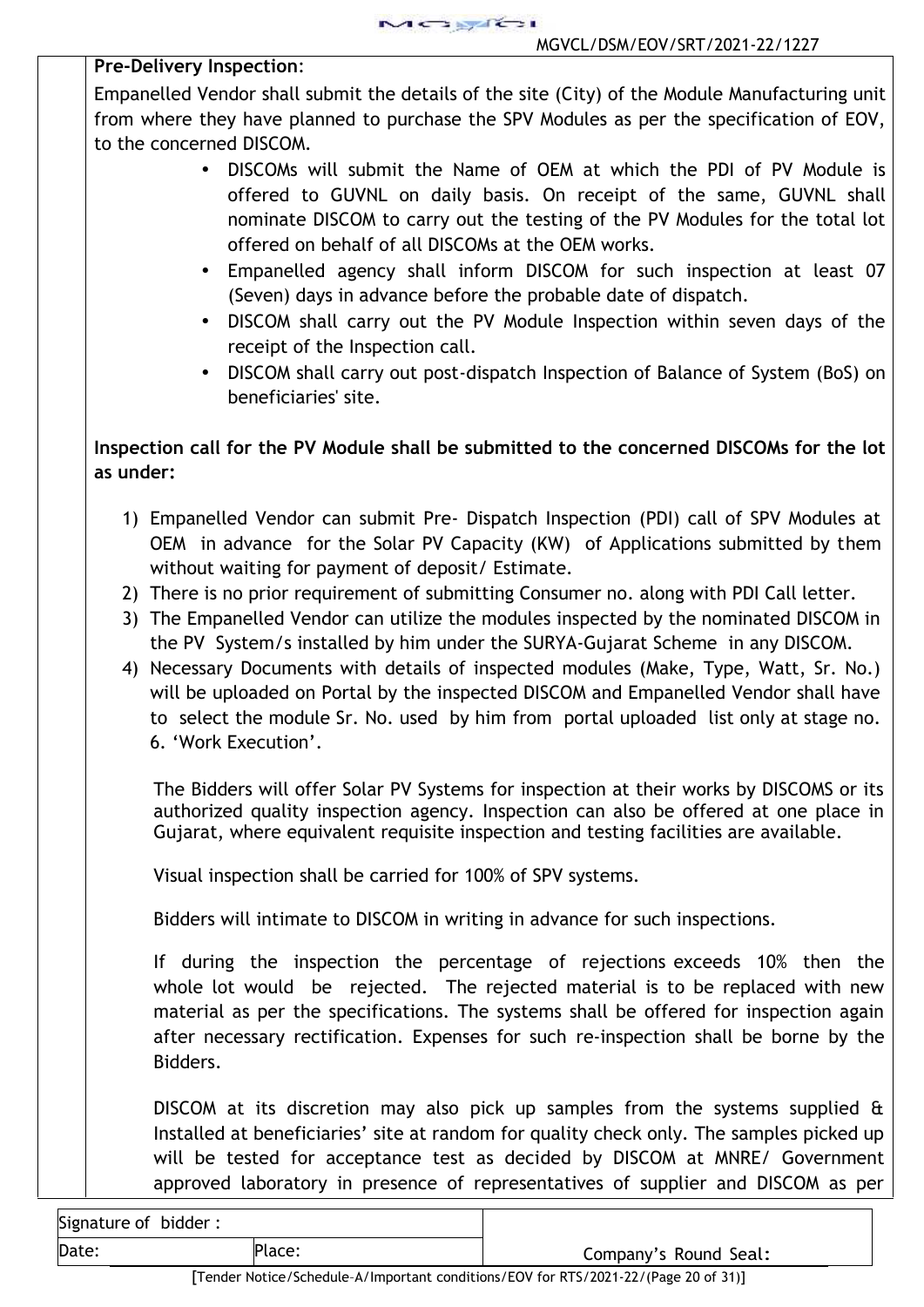## **Pre-Delivery Inspection**:

Empanelled Vendor shall submit the details of the site (City) of the Module Manufacturing unit from where they have planned to purchase the SPV Modules as per the specification of EOV, to the concerned DISCOM.

- DISCOMs will submit the Name of OEM at which the PDI of PV Module is offered to GUVNL on daily basis. On receipt of the same, GUVNL shall nominate DISCOM to carry out the testing of the PV Modules for the total lot offered on behalf of all DISCOMs at the OEM works.
- Empanelled agency shall inform DISCOM for such inspection at least 07 (Seven) days in advance before the probable date of dispatch.
- DISCOM shall carry out the PV Module Inspection within seven days of the receipt of the Inspection call.
- DISCOM shall carry out post-dispatch Inspection of Balance of System (BoS) on beneficiaries' site.

# **Inspection call for the PV Module shall be submitted to the concerned DISCOMs for the lot as under:**

- 1) Empanelled Vendor can submit Pre- Dispatch Inspection (PDI) call of SPV Modules at OEM in advance for the Solar PV Capacity (KW) of Applications submitted by them without waiting for payment of deposit/ Estimate.
- 2) There is no prior requirement of submitting Consumer no. along with PDI Call letter.
- 3) The Empanelled Vendor can utilize the modules inspected by the nominated DISCOM in the PV System/s installed by him under the SURYA-Gujarat Scheme in any DISCOM.
- 4) Necessary Documents with details of inspected modules (Make, Type, Watt, Sr. No.) will be uploaded on Portal by the inspected DISCOM and Empanelled Vendor shall have to select the module Sr. No. used by him from portal uploaded list only at stage no. 6. 'Work Execution'.

The Bidders will offer Solar PV Systems for inspection at their works by DISCOMS or its authorized quality inspection agency. Inspection can also be offered at one place in Gujarat, where equivalent requisite inspection and testing facilities are available.

Visual inspection shall be carried for 100% of SPV systems.

Bidders will intimate to DISCOM in writing in advance for such inspections.

If during the inspection the percentage of rejections exceeds 10% then the whole lot would be rejected. The rejected material is to be replaced with new material as per the specifications. The systems shall be offered for inspection again after necessary rectification. Expenses for such re-inspection shall be borne by the Bidders.

DISCOM at its discretion may also pick up samples from the systems supplied & Installed at beneficiaries' site at random for quality check only. The samples picked up will be tested for acceptance test as decided by DISCOM at MNRE/ Government approved laboratory in presence of representatives of supplier and DISCOM as per

's Round Seal:

| Signature of bidder: |        |         |
|----------------------|--------|---------|
| Date:                | Place: | Company |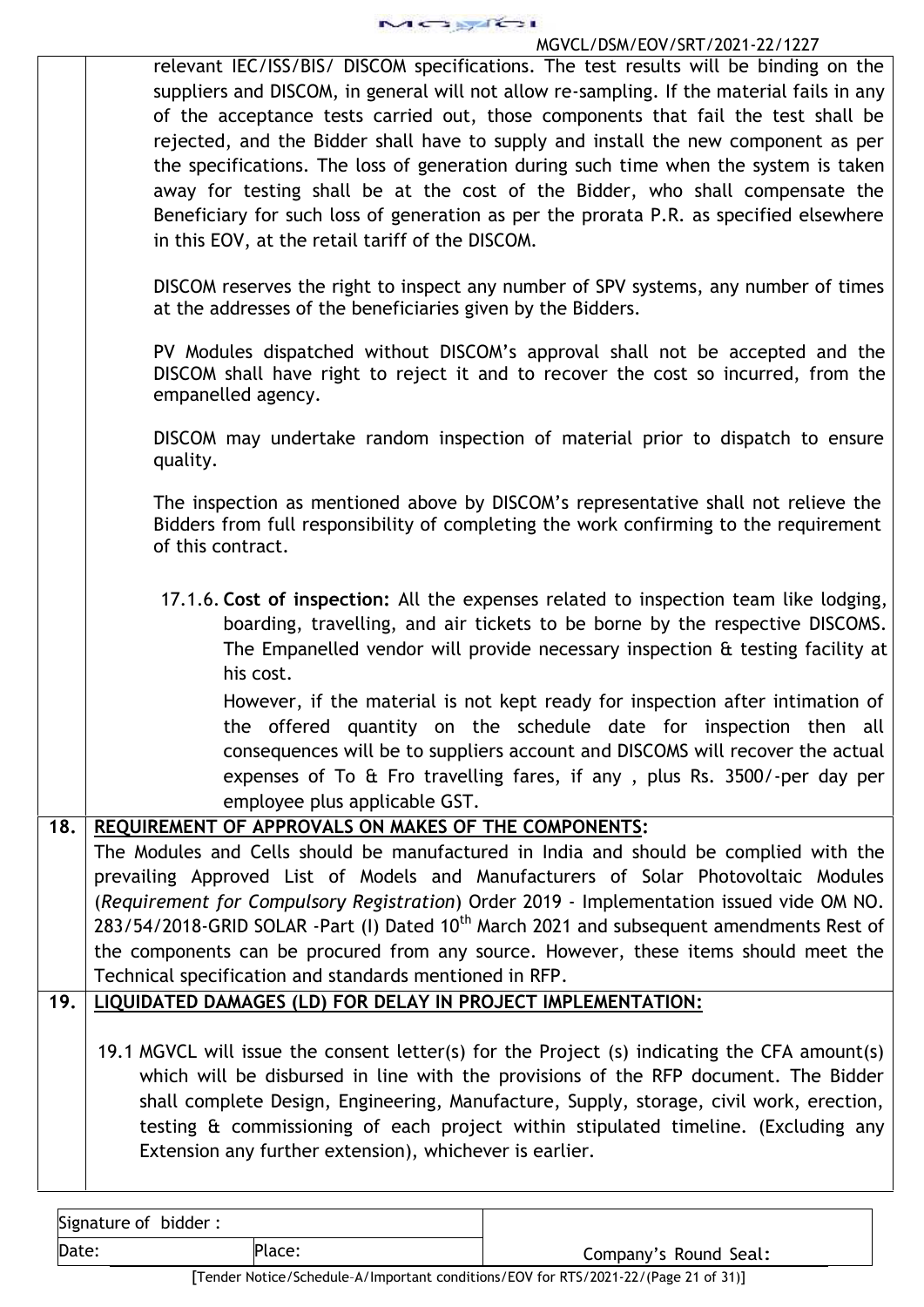

relevant IEC/ISS/BIS/ DISCOM specifications. The test results will be binding on the suppliers and DISCOM, in general will not allow re-sampling. If the material fails in any of the acceptance tests carried out, those components that fail the test shall be rejected, and the Bidder shall have to supply and install the new component as per the specifications. The loss of generation during such time when the system is taken away for testing shall be at the cost of the Bidder, who shall compensate the Beneficiary for such loss of generation as per the prorata P.R. as specified elsewhere in this EOV, at the retail tariff of the DISCOM.

DISCOM reserves the right to inspect any number of SPV systems, any number of times at the addresses of the beneficiaries given by the Bidders.

PV Modules dispatched without DISCOM's approval shall not be accepted and the DISCOM shall have right to reject it and to recover the cost so incurred, from the empanelled agency.

DISCOM may undertake random inspection of material prior to dispatch to ensure quality.

The inspection as mentioned above by DISCOM's representative shall not relieve the Bidders from full responsibility of completing the work confirming to the requirement of this contract.

17.1.6. **Cost of inspection:** All the expenses related to inspection team like lodging, boarding, travelling, and air tickets to be borne by the respective DISCOMS. The Empanelled vendor will provide necessary inspection & testing facility at his cost.

However, if the material is not kept ready for inspection after intimation of the offered quantity on the schedule date for inspection then all consequences will be to suppliers account and DISCOMS will recover the actual expenses of To & Fro travelling fares, if any , plus Rs. 3500/-per day per employee plus applicable GST.

# **18. REQUIREMENT OF APPROVALS ON MAKES OF THE COMPONENTS:**

The Modules and Cells should be manufactured in India and should be complied with the prevailing Approved List of Models and Manufacturers of Solar Photovoltaic Modules (*Requirement for Compulsory Registration*) Order 2019 - Implementation issued vide OM NO. 283/54/2018-GRID SOLAR -Part (I) Dated 10<sup>th</sup> March 2021 and subsequent amendments Rest of the components can be procured from any source. However, these items should meet the Technical specification and standards mentioned in RFP.

# **19. LIQUIDATED DAMAGES (LD) FOR DELAY IN PROJECT IMPLEMENTATION:**

19.1 MGVCL will issue the consent letter(s) for the Project (s) indicating the CFA amount(s) which will be disbursed in line with the provisions of the RFP document. The Bidder shall complete Design, Engineering, Manufacture, Supply, storage, civil work, erection, testing & commissioning of each project within stipulated timeline. (Excluding any Extension any further extension), whichever is earlier.

| Signature of bidder: |        |                       |
|----------------------|--------|-----------------------|
| Date:                | Place: | Company's Round Seal: |

[Tender Notice/Schedule–A/Important conditions/EOV for RTS/2021-22/(Page 21 of31)]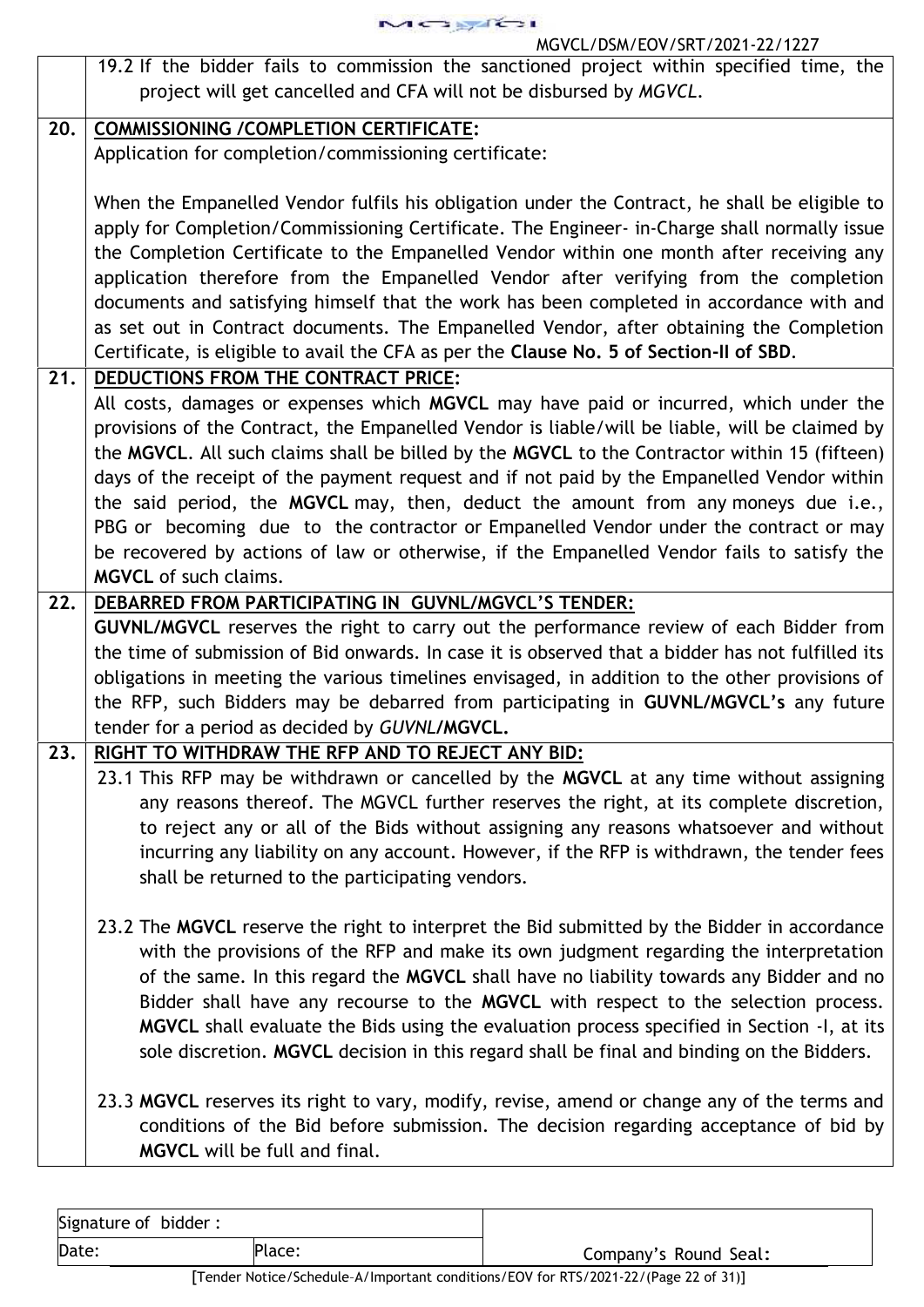MOSTEI

## MGVCL/DSM/EOV/SRT/2021-22/1227

|     | 19.2 If the bidder fails to commission the sanctioned project within specified time, the                                                     |
|-----|----------------------------------------------------------------------------------------------------------------------------------------------|
|     | project will get cancelled and CFA will not be disbursed by MGVCL.                                                                           |
| 20. | <b>COMMISSIONING / COMPLETION CERTIFICATE:</b>                                                                                               |
|     | Application for completion/commissioning certificate:                                                                                        |
|     |                                                                                                                                              |
|     | When the Empanelled Vendor fulfils his obligation under the Contract, he shall be eligible to                                                |
|     | apply for Completion/Commissioning Certificate. The Engineer- in-Charge shall normally issue                                                 |
|     | the Completion Certificate to the Empanelled Vendor within one month after receiving any                                                     |
|     | application therefore from the Empanelled Vendor after verifying from the completion                                                         |
|     | documents and satisfying himself that the work has been completed in accordance with and                                                     |
|     | as set out in Contract documents. The Empanelled Vendor, after obtaining the Completion                                                      |
|     | Certificate, is eligible to avail the CFA as per the Clause No. 5 of Section-II of SBD.                                                      |
| 21. | DEDUCTIONS FROM THE CONTRACT PRICE:                                                                                                          |
|     | All costs, damages or expenses which MGVCL may have paid or incurred, which under the                                                        |
|     | provisions of the Contract, the Empanelled Vendor is liable/will be liable, will be claimed by                                               |
|     | the MGVCL. All such claims shall be billed by the MGVCL to the Contractor within 15 (fifteen)                                                |
|     | days of the receipt of the payment request and if not paid by the Empanelled Vendor within                                                   |
|     | the said period, the MGVCL may, then, deduct the amount from any moneys due i.e.,                                                            |
|     | PBG or becoming due to the contractor or Empanelled Vendor under the contract or may                                                         |
|     | be recovered by actions of law or otherwise, if the Empanelled Vendor fails to satisfy the                                                   |
|     | <b>MGVCL</b> of such claims.                                                                                                                 |
| 22. | DEBARRED FROM PARTICIPATING IN GUVNL/MGVCL'S TENDER:                                                                                         |
|     | <b>GUVNL/MGVCL</b> reserves the right to carry out the performance review of each Bidder from                                                |
|     | the time of submission of Bid onwards. In case it is observed that a bidder has not fulfilled its                                            |
|     | obligations in meeting the various timelines envisaged, in addition to the other provisions of                                               |
|     | the RFP, such Bidders may be debarred from participating in GUVNL/MGVCL's any future                                                         |
|     | tender for a period as decided by GUVNL/MGVCL.                                                                                               |
| 23. | RIGHT TO WITHDRAW THE RFP AND TO REJECT ANY BID:                                                                                             |
|     | 23.1 This RFP may be withdrawn or cancelled by the MGVCL at any time without assigning                                                       |
|     | any reasons thereof. The MGVCL further reserves the right, at its complete discretion,                                                       |
|     | to reject any or all of the Bids without assigning any reasons whatsoever and without                                                        |
|     | incurring any liability on any account. However, if the RFP is withdrawn, the tender fees<br>shall be returned to the participating vendors. |
|     |                                                                                                                                              |
|     | 23.2 The MGVCL reserve the right to interpret the Bid submitted by the Bidder in accordance                                                  |
|     | with the provisions of the RFP and make its own judgment regarding the interpretation                                                        |
|     | of the same. In this regard the MGVCL shall have no liability towards any Bidder and no                                                      |
|     | Bidder shall have any recourse to the MGVCL with respect to the selection process.                                                           |
|     | MGVCL shall evaluate the Bids using the evaluation process specified in Section -1, at its                                                   |
|     | sole discretion. MGVCL decision in this regard shall be final and binding on the Bidders.                                                    |
|     |                                                                                                                                              |
|     | 23.3 MGVCL reserves its right to vary, modify, revise, amend or change any of the terms and                                                  |
|     |                                                                                                                                              |
|     | conditions of the Bid before submission. The decision regarding acceptance of bid by                                                         |

| Signature of bidder: |        |                       |
|----------------------|--------|-----------------------|
| Date:                | Place: | Company's Round Seal: |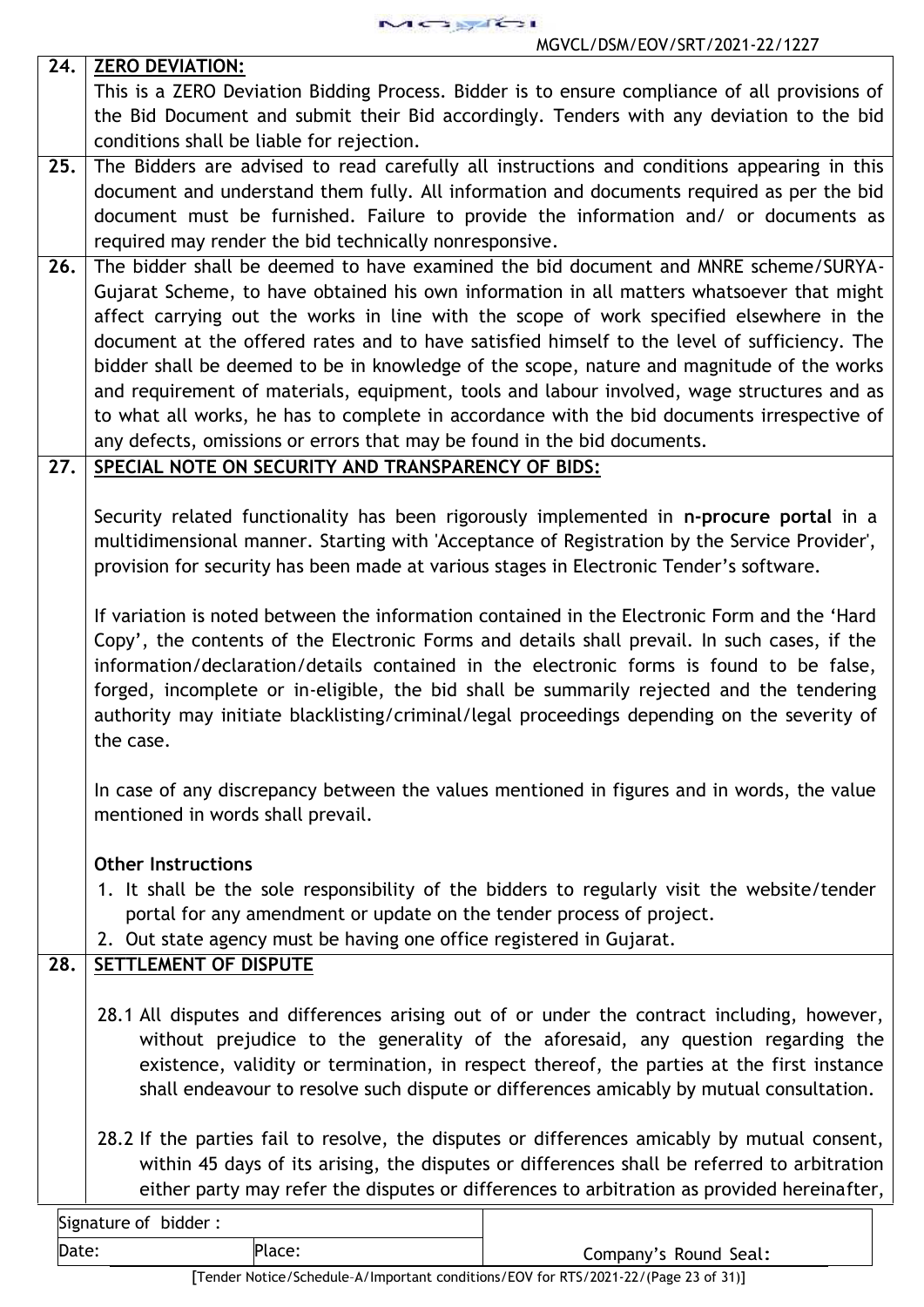MOSTE

| 24. | <b>ZERO DEVIATION:</b>                                                                                                                                                                                                                                                                                                                                                                                                                                                                                                                                                                                                                                                                                                                           |  |  |
|-----|--------------------------------------------------------------------------------------------------------------------------------------------------------------------------------------------------------------------------------------------------------------------------------------------------------------------------------------------------------------------------------------------------------------------------------------------------------------------------------------------------------------------------------------------------------------------------------------------------------------------------------------------------------------------------------------------------------------------------------------------------|--|--|
|     | This is a ZERO Deviation Bidding Process. Bidder is to ensure compliance of all provisions of                                                                                                                                                                                                                                                                                                                                                                                                                                                                                                                                                                                                                                                    |  |  |
|     | the Bid Document and submit their Bid accordingly. Tenders with any deviation to the bid                                                                                                                                                                                                                                                                                                                                                                                                                                                                                                                                                                                                                                                         |  |  |
|     | conditions shall be liable for rejection.                                                                                                                                                                                                                                                                                                                                                                                                                                                                                                                                                                                                                                                                                                        |  |  |
| 25. | The Bidders are advised to read carefully all instructions and conditions appearing in this<br>document and understand them fully. All information and documents required as per the bid<br>document must be furnished. Failure to provide the information and/ or documents as<br>required may render the bid technically nonresponsive.                                                                                                                                                                                                                                                                                                                                                                                                        |  |  |
| 26. | The bidder shall be deemed to have examined the bid document and MNRE scheme/SURYA-<br>Gujarat Scheme, to have obtained his own information in all matters whatsoever that might<br>affect carrying out the works in line with the scope of work specified elsewhere in the<br>document at the offered rates and to have satisfied himself to the level of sufficiency. The<br>bidder shall be deemed to be in knowledge of the scope, nature and magnitude of the works<br>and requirement of materials, equipment, tools and labour involved, wage structures and as<br>to what all works, he has to complete in accordance with the bid documents irrespective of<br>any defects, omissions or errors that may be found in the bid documents. |  |  |
| 27. | SPECIAL NOTE ON SECURITY AND TRANSPARENCY OF BIDS:                                                                                                                                                                                                                                                                                                                                                                                                                                                                                                                                                                                                                                                                                               |  |  |
|     | Security related functionality has been rigorously implemented in n-procure portal in a<br>multidimensional manner. Starting with 'Acceptance of Registration by the Service Provider',<br>provision for security has been made at various stages in Electronic Tender's software.                                                                                                                                                                                                                                                                                                                                                                                                                                                               |  |  |
|     | If variation is noted between the information contained in the Electronic Form and the 'Hard<br>Copy', the contents of the Electronic Forms and details shall prevail. In such cases, if the<br>information/declaration/details contained in the electronic forms is found to be false,<br>forged, incomplete or in-eligible, the bid shall be summarily rejected and the tendering<br>authority may initiate blacklisting/criminal/legal proceedings depending on the severity of<br>the case.                                                                                                                                                                                                                                                  |  |  |
|     | In case of any discrepancy between the values mentioned in figures and in words, the value<br>mentioned in words shall prevail.                                                                                                                                                                                                                                                                                                                                                                                                                                                                                                                                                                                                                  |  |  |
| 28. | <b>Other Instructions</b><br>1. It shall be the sole responsibility of the bidders to regularly visit the website/tender<br>portal for any amendment or update on the tender process of project.<br>2. Out state agency must be having one office registered in Gujarat.<br><b>SETTLEMENT OF DISPUTE</b>                                                                                                                                                                                                                                                                                                                                                                                                                                         |  |  |
|     | 28.1 All disputes and differences arising out of or under the contract including, however,<br>without prejudice to the generality of the aforesaid, any question regarding the<br>existence, validity or termination, in respect thereof, the parties at the first instance<br>shall endeavour to resolve such dispute or differences amicably by mutual consultation.                                                                                                                                                                                                                                                                                                                                                                           |  |  |
|     | 28.2 If the parties fail to resolve, the disputes or differences amicably by mutual consent,<br>within 45 days of its arising, the disputes or differences shall be referred to arbitration<br>either party may refer the disputes or differences to arbitration as provided hereinafter,                                                                                                                                                                                                                                                                                                                                                                                                                                                        |  |  |
|     | Signature of bidder:                                                                                                                                                                                                                                                                                                                                                                                                                                                                                                                                                                                                                                                                                                                             |  |  |

Date: Place: Place: Place: Company's Round Seal: [Tender Notice/Schedule–A/Important conditions/EOV for RTS/2021-22/(Page 23 of31)]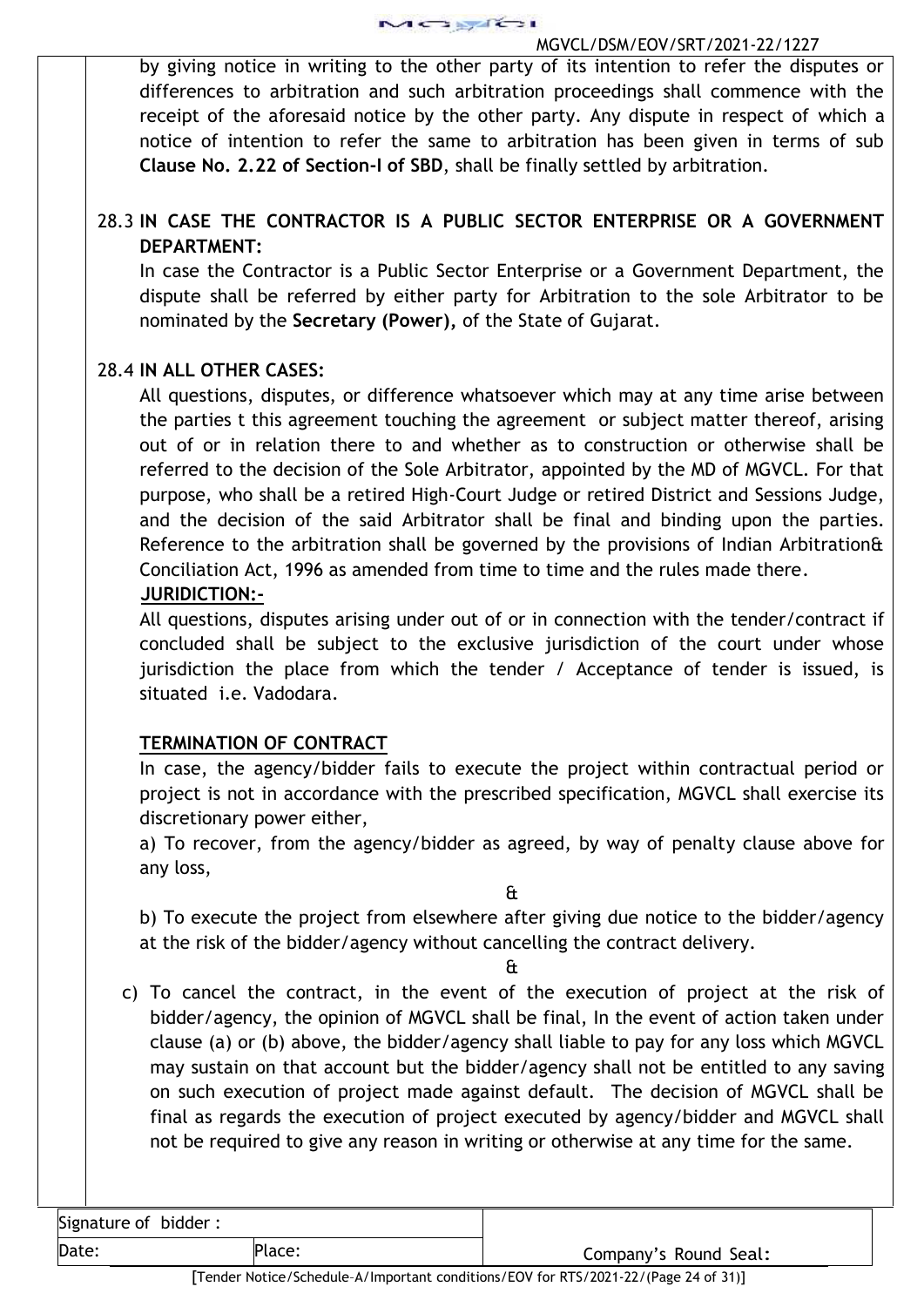

by giving notice in writing to the other party of its intention to refer the disputes or differences to arbitration and such arbitration proceedings shall commence with the receipt of the aforesaid notice by the other party. Any dispute in respect of which a notice of intention to refer the same to arbitration has been given in terms of sub **Clause No. 2.22 of Section-I of SBD**, shall be finally settled by arbitration.

# 28.3 **IN CASE THE CONTRACTOR IS A PUBLIC SECTOR ENTERPRISE OR A GOVERNMENT DEPARTMENT:**

In case the Contractor is a Public Sector Enterprise or a Government Department, the dispute shall be referred by either party for Arbitration to the sole Arbitrator to be nominated by the **Secretary (Power),** of the State of Gujarat.

# 28.4 **IN ALL OTHER CASES:**

All questions, disputes, or difference whatsoever which may at any time arise between the parties t this agreement touching the agreement or subject matter thereof, arising out of or in relation there to and whether as to construction or otherwise shall be referred to the decision of the Sole Arbitrator, appointed by the MD of MGVCL. For that purpose, who shall be a retired High-Court Judge or retired District and Sessions Judge, and the decision of the said Arbitrator shall be final and binding upon the parties. Reference to the arbitration shall be governed by the provisions of Indian Arbitration& Conciliation Act, 1996 as amended from time to time and the rules made there.

# **JURIDICTION:-**

All questions, disputes arising under out of or in connection with the tender/contract if concluded shall be subject to the exclusive jurisdiction of the court under whose jurisdiction the place from which the tender / Acceptance of tender is issued, is situated i.e. Vadodara.

# **TERMINATION OF CONTRACT**

In case, the agency/bidder fails to execute the project within contractual period or project is not in accordance with the prescribed specification, MGVCL shall exercise its discretionary power either,

a) To recover, from the agency/bidder as agreed, by way of penalty clause above for any loss,

&

b) To execute the project from elsewhere after giving due notice to the bidder/agency at the risk of the bidder/agency without cancelling the contract delivery.

&

c) To cancel the contract, in the event of the execution of project at the risk of bidder/agency, the opinion of MGVCL shall be final, In the event of action taken under clause (a) or (b) above, the bidder/agency shall liable to pay for any loss which MGVCL may sustain on that account but the bidder/agency shall not be entitled to any saving on such execution of project made against default. The decision of MGVCL shall be final as regards the execution of project executed by agency/bidder and MGVCL shall not be required to give any reason in writing or otherwise at any time for the same.

Signature of bidder :

Date: Place: Place: Place: Place: Place: Place: Company's Round Seal: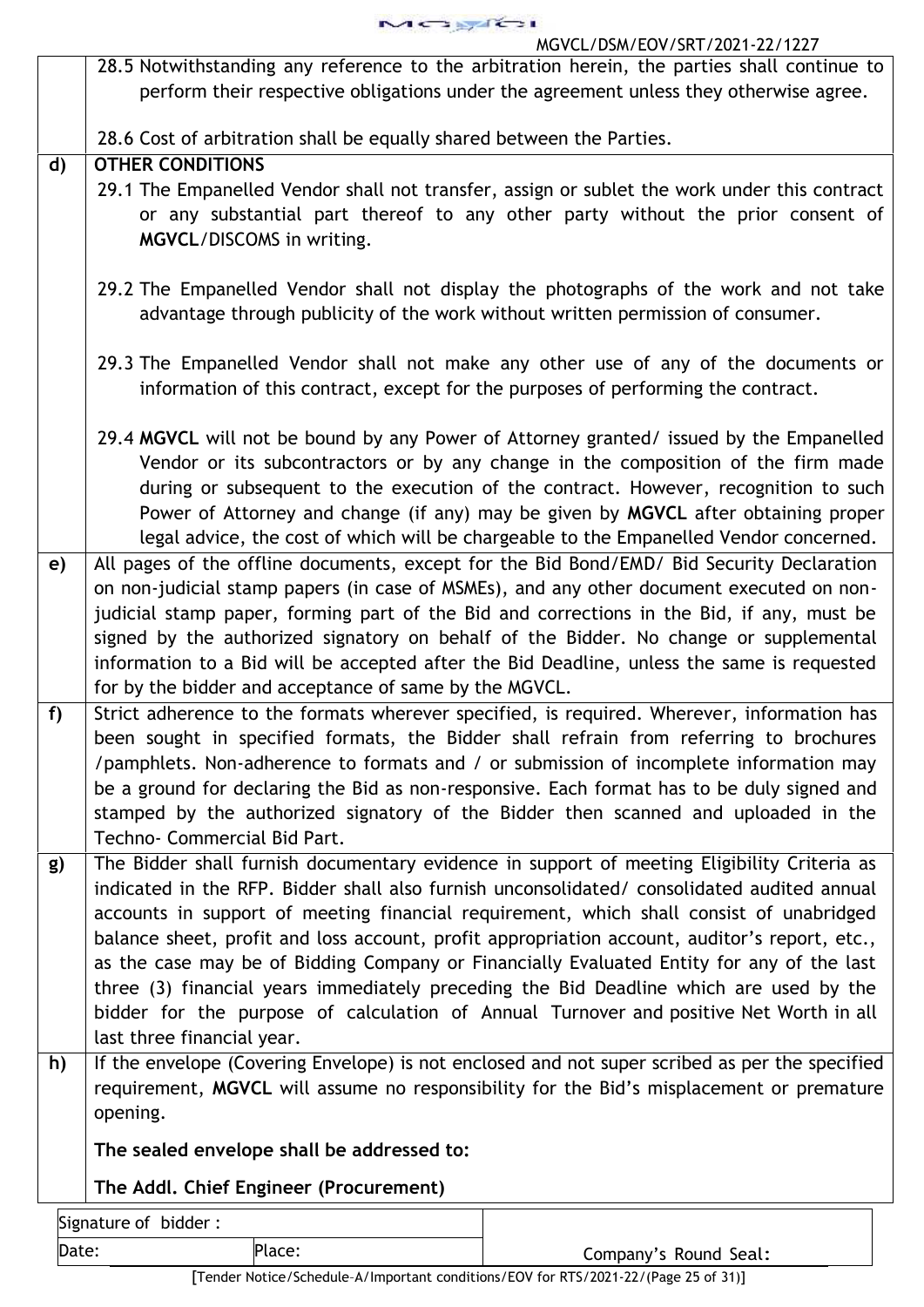| . .<br>. . |  |
|------------|--|
|            |  |

|              | MGVCL/DSM/EOV/SRT/Z0Z1-ZZ/1ZZ/                                                                                                                                                                                                                                                                                                                                                                                                                                                                                                                                                |
|--------------|-------------------------------------------------------------------------------------------------------------------------------------------------------------------------------------------------------------------------------------------------------------------------------------------------------------------------------------------------------------------------------------------------------------------------------------------------------------------------------------------------------------------------------------------------------------------------------|
|              | 28.5 Notwithstanding any reference to the arbitration herein, the parties shall continue to<br>perform their respective obligations under the agreement unless they otherwise agree.                                                                                                                                                                                                                                                                                                                                                                                          |
|              | 28.6 Cost of arbitration shall be equally shared between the Parties.<br><b>OTHER CONDITIONS</b>                                                                                                                                                                                                                                                                                                                                                                                                                                                                              |
| $\mathbf{d}$ | 29.1 The Empanelled Vendor shall not transfer, assign or sublet the work under this contract                                                                                                                                                                                                                                                                                                                                                                                                                                                                                  |
|              | or any substantial part thereof to any other party without the prior consent of<br>MGVCL/DISCOMS in writing.                                                                                                                                                                                                                                                                                                                                                                                                                                                                  |
|              | 29.2 The Empanelled Vendor shall not display the photographs of the work and not take<br>advantage through publicity of the work without written permission of consumer.                                                                                                                                                                                                                                                                                                                                                                                                      |
|              | 29.3 The Empanelled Vendor shall not make any other use of any of the documents or<br>information of this contract, except for the purposes of performing the contract.                                                                                                                                                                                                                                                                                                                                                                                                       |
|              | 29.4 MGVCL will not be bound by any Power of Attorney granted/ issued by the Empanelled<br>Vendor or its subcontractors or by any change in the composition of the firm made<br>during or subsequent to the execution of the contract. However, recognition to such<br>Power of Attorney and change (if any) may be given by MGVCL after obtaining proper<br>legal advice, the cost of which will be chargeable to the Empanelled Vendor concerned.                                                                                                                           |
| e)           | All pages of the offline documents, except for the Bid Bond/EMD/ Bid Security Declaration<br>on non-judicial stamp papers (in case of MSMEs), and any other document executed on non-<br>judicial stamp paper, forming part of the Bid and corrections in the Bid, if any, must be<br>signed by the authorized signatory on behalf of the Bidder. No change or supplemental<br>information to a Bid will be accepted after the Bid Deadline, unless the same is requested<br>for by the bidder and acceptance of same by the MGVCL.                                           |
| f            | Strict adherence to the formats wherever specified, is required. Wherever, information has<br>been sought in specified formats, the Bidder shall refrain from referring to brochures<br>/pamphlets. Non-adherence to formats and / or submission of incomplete information may<br>be a ground for declaring the Bid as non-responsive. Each format has to be duly signed and<br>stamped by the authorized signatory of the Bidder then scanned and uploaded in the<br>Techno- Commercial Bid Part.                                                                            |
| g)           | The Bidder shall furnish documentary evidence in support of meeting Eligibility Criteria as<br>indicated in the RFP. Bidder shall also furnish unconsolidated/ consolidated audited annual<br>accounts in support of meeting financial requirement, which shall consist of unabridged<br>balance sheet, profit and loss account, profit appropriation account, auditor's report, etc.,<br>as the case may be of Bidding Company or Financially Evaluated Entity for any of the last<br>three (3) financial years immediately preceding the Bid Deadline which are used by the |
| h)           | bidder for the purpose of calculation of Annual Turnover and positive Net Worth in all<br>last three financial year.<br>If the envelope (Covering Envelope) is not enclosed and not super scribed as per the specified<br>requirement, MGVCL will assume no responsibility for the Bid's misplacement or premature<br>opening.                                                                                                                                                                                                                                                |
|              | The sealed envelope shall be addressed to:                                                                                                                                                                                                                                                                                                                                                                                                                                                                                                                                    |
|              | The Addl. Chief Engineer (Procurement)                                                                                                                                                                                                                                                                                                                                                                                                                                                                                                                                        |
|              | Signature of bidder:                                                                                                                                                                                                                                                                                                                                                                                                                                                                                                                                                          |

[Tender Notice/Schedule–A/Important conditions/EOV for RTS/2021-22/(Page 25 of31)]

Date: Place: Place: Place: Company's Round Seal: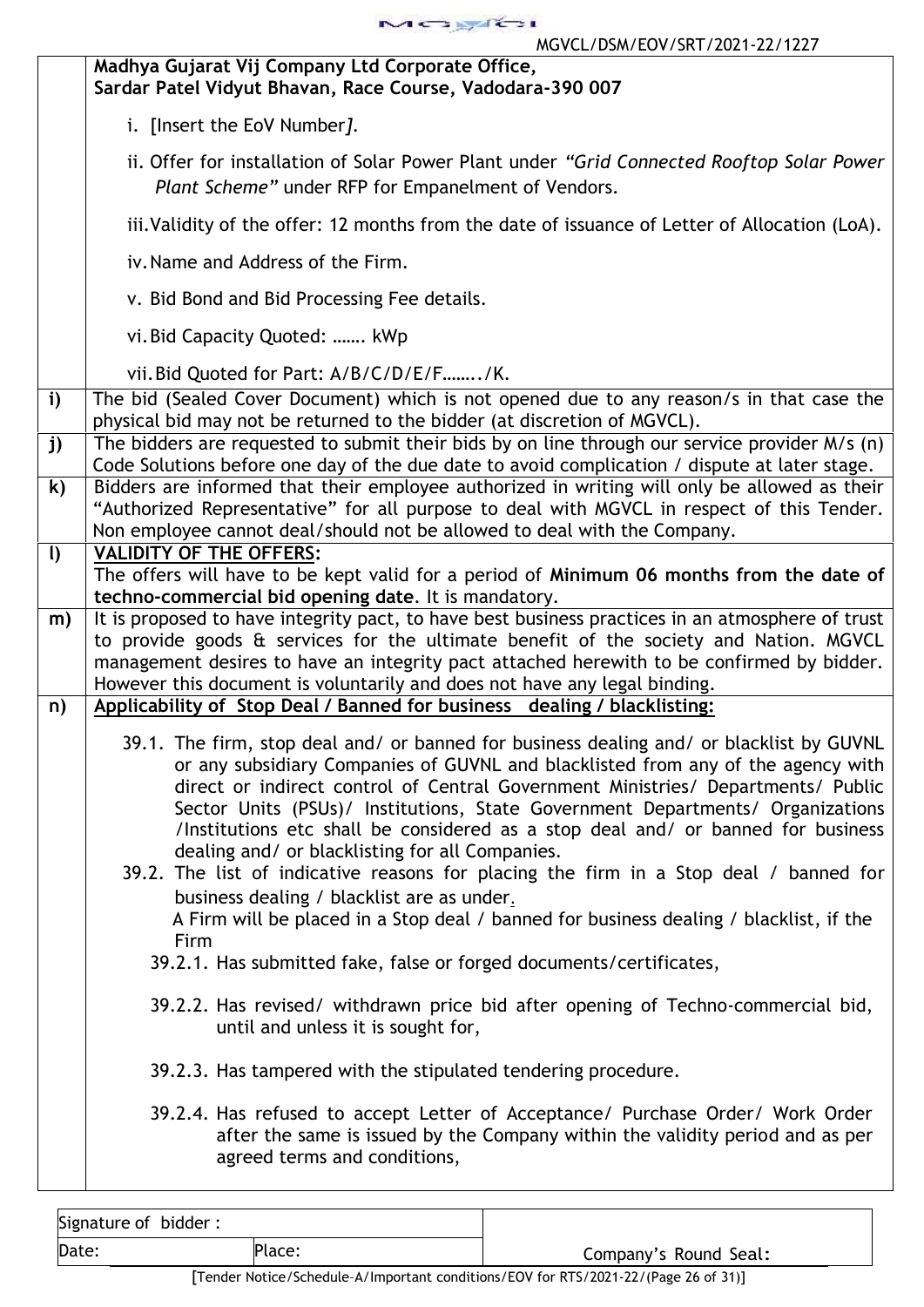

| i. [Insert the EoV Number].<br>ii. Offer for installation of Solar Power Plant under "Grid Connected Rooftop Solar Power<br>Plant Scheme" under RFP for Empanelment of Vendors.<br>iii. Validity of the offer: 12 months from the date of issuance of Letter of Allocation (LoA).<br>iv. Name and Address of the Firm.<br>v. Bid Bond and Bid Processing Fee details.<br>vi. Bid Capacity Quoted:  kWp<br>vii. Bid Quoted for Part: A/B/C/D/E/F/K.<br>$\mathbf{i}$<br>The bid (Sealed Cover Document) which is not opened due to any reason/s in that case the<br>physical bid may not be returned to the bidder (at discretion of MGVCL).<br>The bidders are requested to submit their bids by on line through our service provider M/s (n)<br>j)<br>Code Solutions before one day of the due date to avoid complication / dispute at later stage.<br>$\mathsf{k}$<br>Bidders are informed that their employee authorized in writing will only be allowed as their<br>"Authorized Representative" for all purpose to deal with MGVCL in respect of this Tender.<br>Non employee cannot deal/should not be allowed to deal with the Company.<br>$\mathbf{I}$<br><b>VALIDITY OF THE OFFERS:</b><br>The offers will have to be kept valid for a period of Minimum 06 months from the date of<br>techno-commercial bid opening date. It is mandatory.<br>It is proposed to have integrity pact, to have best business practices in an atmosphere of trust<br>m)<br>to provide goods & services for the ultimate benefit of the society and Nation. MGVCL<br>management desires to have an integrity pact attached herewith to be confirmed by bidder.<br>However this document is voluntarily and does not have any legal binding.<br>Applicability of Stop Deal / Banned for business dealing / blacklisting:<br>n)<br>39.1. The firm, stop deal and/ or banned for business dealing and/ or blacklist by GUVNL<br>or any subsidiary Companies of GUVNL and blacklisted from any of the agency with<br>direct or indirect control of Central Government Ministries/ Departments/ Public<br>Sector Units (PSUs)/ Institutions, State Government Departments/ Organizations<br>/Institutions etc shall be considered as a stop deal and/ or banned for business<br>dealing and/ or blacklisting for all Companies.<br>39.2. The list of indicative reasons for placing the firm in a Stop deal / banned for<br>business dealing / blacklist are as under.<br>A Firm will be placed in a Stop deal / banned for business dealing / blacklist, if the<br>Firm | Madhya Gujarat Vij Company Ltd Corporate Office,<br>Sardar Patel Vidyut Bhavan, Race Course, Vadodara-390 007 |
|---------------------------------------------------------------------------------------------------------------------------------------------------------------------------------------------------------------------------------------------------------------------------------------------------------------------------------------------------------------------------------------------------------------------------------------------------------------------------------------------------------------------------------------------------------------------------------------------------------------------------------------------------------------------------------------------------------------------------------------------------------------------------------------------------------------------------------------------------------------------------------------------------------------------------------------------------------------------------------------------------------------------------------------------------------------------------------------------------------------------------------------------------------------------------------------------------------------------------------------------------------------------------------------------------------------------------------------------------------------------------------------------------------------------------------------------------------------------------------------------------------------------------------------------------------------------------------------------------------------------------------------------------------------------------------------------------------------------------------------------------------------------------------------------------------------------------------------------------------------------------------------------------------------------------------------------------------------------------------------------------------------------------------------------------------------------------------------------------------------------------------------------------------------------------------------------------------------------------------------------------------------------------------------------------------------------------------------------------------------------------------------------------------------------------------------------------------------------------------------------------------------------------------------------------------|---------------------------------------------------------------------------------------------------------------|
|                                                                                                                                                                                                                                                                                                                                                                                                                                                                                                                                                                                                                                                                                                                                                                                                                                                                                                                                                                                                                                                                                                                                                                                                                                                                                                                                                                                                                                                                                                                                                                                                                                                                                                                                                                                                                                                                                                                                                                                                                                                                                                                                                                                                                                                                                                                                                                                                                                                                                                                                                         |                                                                                                               |
|                                                                                                                                                                                                                                                                                                                                                                                                                                                                                                                                                                                                                                                                                                                                                                                                                                                                                                                                                                                                                                                                                                                                                                                                                                                                                                                                                                                                                                                                                                                                                                                                                                                                                                                                                                                                                                                                                                                                                                                                                                                                                                                                                                                                                                                                                                                                                                                                                                                                                                                                                         |                                                                                                               |
|                                                                                                                                                                                                                                                                                                                                                                                                                                                                                                                                                                                                                                                                                                                                                                                                                                                                                                                                                                                                                                                                                                                                                                                                                                                                                                                                                                                                                                                                                                                                                                                                                                                                                                                                                                                                                                                                                                                                                                                                                                                                                                                                                                                                                                                                                                                                                                                                                                                                                                                                                         |                                                                                                               |
|                                                                                                                                                                                                                                                                                                                                                                                                                                                                                                                                                                                                                                                                                                                                                                                                                                                                                                                                                                                                                                                                                                                                                                                                                                                                                                                                                                                                                                                                                                                                                                                                                                                                                                                                                                                                                                                                                                                                                                                                                                                                                                                                                                                                                                                                                                                                                                                                                                                                                                                                                         |                                                                                                               |
|                                                                                                                                                                                                                                                                                                                                                                                                                                                                                                                                                                                                                                                                                                                                                                                                                                                                                                                                                                                                                                                                                                                                                                                                                                                                                                                                                                                                                                                                                                                                                                                                                                                                                                                                                                                                                                                                                                                                                                                                                                                                                                                                                                                                                                                                                                                                                                                                                                                                                                                                                         |                                                                                                               |
|                                                                                                                                                                                                                                                                                                                                                                                                                                                                                                                                                                                                                                                                                                                                                                                                                                                                                                                                                                                                                                                                                                                                                                                                                                                                                                                                                                                                                                                                                                                                                                                                                                                                                                                                                                                                                                                                                                                                                                                                                                                                                                                                                                                                                                                                                                                                                                                                                                                                                                                                                         |                                                                                                               |
|                                                                                                                                                                                                                                                                                                                                                                                                                                                                                                                                                                                                                                                                                                                                                                                                                                                                                                                                                                                                                                                                                                                                                                                                                                                                                                                                                                                                                                                                                                                                                                                                                                                                                                                                                                                                                                                                                                                                                                                                                                                                                                                                                                                                                                                                                                                                                                                                                                                                                                                                                         |                                                                                                               |
|                                                                                                                                                                                                                                                                                                                                                                                                                                                                                                                                                                                                                                                                                                                                                                                                                                                                                                                                                                                                                                                                                                                                                                                                                                                                                                                                                                                                                                                                                                                                                                                                                                                                                                                                                                                                                                                                                                                                                                                                                                                                                                                                                                                                                                                                                                                                                                                                                                                                                                                                                         |                                                                                                               |
|                                                                                                                                                                                                                                                                                                                                                                                                                                                                                                                                                                                                                                                                                                                                                                                                                                                                                                                                                                                                                                                                                                                                                                                                                                                                                                                                                                                                                                                                                                                                                                                                                                                                                                                                                                                                                                                                                                                                                                                                                                                                                                                                                                                                                                                                                                                                                                                                                                                                                                                                                         |                                                                                                               |
|                                                                                                                                                                                                                                                                                                                                                                                                                                                                                                                                                                                                                                                                                                                                                                                                                                                                                                                                                                                                                                                                                                                                                                                                                                                                                                                                                                                                                                                                                                                                                                                                                                                                                                                                                                                                                                                                                                                                                                                                                                                                                                                                                                                                                                                                                                                                                                                                                                                                                                                                                         |                                                                                                               |
|                                                                                                                                                                                                                                                                                                                                                                                                                                                                                                                                                                                                                                                                                                                                                                                                                                                                                                                                                                                                                                                                                                                                                                                                                                                                                                                                                                                                                                                                                                                                                                                                                                                                                                                                                                                                                                                                                                                                                                                                                                                                                                                                                                                                                                                                                                                                                                                                                                                                                                                                                         |                                                                                                               |
|                                                                                                                                                                                                                                                                                                                                                                                                                                                                                                                                                                                                                                                                                                                                                                                                                                                                                                                                                                                                                                                                                                                                                                                                                                                                                                                                                                                                                                                                                                                                                                                                                                                                                                                                                                                                                                                                                                                                                                                                                                                                                                                                                                                                                                                                                                                                                                                                                                                                                                                                                         |                                                                                                               |
|                                                                                                                                                                                                                                                                                                                                                                                                                                                                                                                                                                                                                                                                                                                                                                                                                                                                                                                                                                                                                                                                                                                                                                                                                                                                                                                                                                                                                                                                                                                                                                                                                                                                                                                                                                                                                                                                                                                                                                                                                                                                                                                                                                                                                                                                                                                                                                                                                                                                                                                                                         |                                                                                                               |
| 39.2.2. Has revised/ withdrawn price bid after opening of Techno-commercial bid,<br>until and unless it is sought for,<br>39.2.3. Has tampered with the stipulated tendering procedure.<br>39.2.4. Has refused to accept Letter of Acceptance/ Purchase Order/ Work Order<br>after the same is issued by the Company within the validity period and as per<br>agreed terms and conditions,                                                                                                                                                                                                                                                                                                                                                                                                                                                                                                                                                                                                                                                                                                                                                                                                                                                                                                                                                                                                                                                                                                                                                                                                                                                                                                                                                                                                                                                                                                                                                                                                                                                                                                                                                                                                                                                                                                                                                                                                                                                                                                                                                              | 39.2.1. Has submitted fake, false or forged documents/certificates,                                           |

| Signature of bidder: |        |                       |
|----------------------|--------|-----------------------|
| Date:                | Place: | Company's Round Seal: |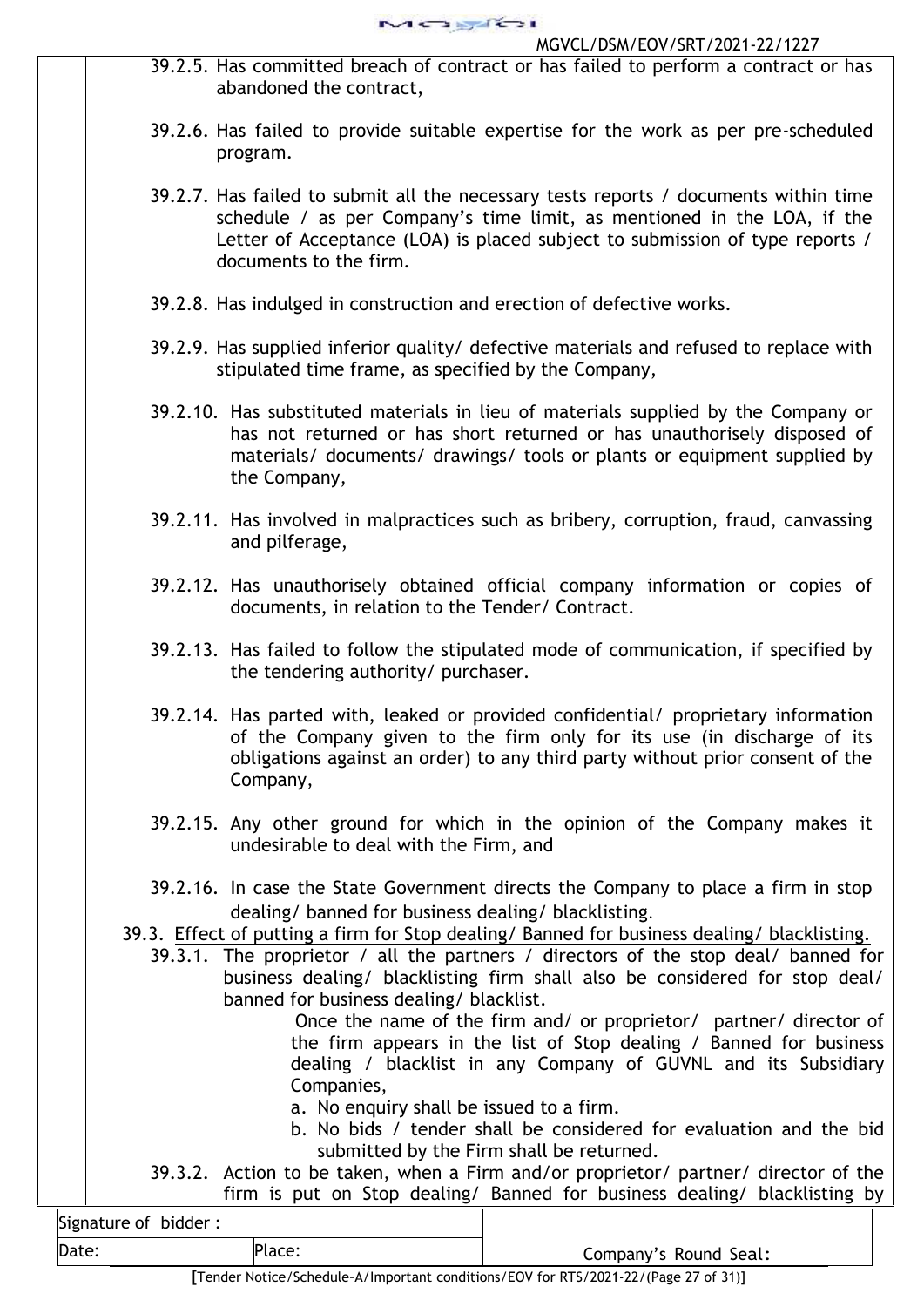- 39.2.5. Has committed breach of contract or has failed to perform a contract or has abandoned the contract,
- 39.2.6. Has failed to provide suitable expertise for the work as per pre-scheduled program.
- 39.2.7. Has failed to submit all the necessary tests reports / documents within time schedule / as per Company's time limit, as mentioned in the LOA, if the Letter of Acceptance (LOA) is placed subject to submission of type reports / documents to the firm.
- 39.2.8. Has indulged in construction and erection of defective works.
- 39.2.9. Has supplied inferior quality/ defective materials and refused to replace with stipulated time frame, as specified by the Company,
- 39.2.10. Has substituted materials in lieu of materials supplied by the Company or has not returned or has short returned or has unauthorisely disposed of materials/ documents/ drawings/ tools or plants or equipment supplied by the Company,
- 39.2.11. Has involved in malpractices such as bribery, corruption, fraud, canvassing and pilferage,
- 39.2.12. Has unauthorisely obtained official company information or copies of documents, in relation to the Tender/ Contract.
- 39.2.13. Has failed to follow the stipulated mode of communication, if specified by the tendering authority/ purchaser.
- 39.2.14. Has parted with, leaked or provided confidential/ proprietary information of the Company given to the firm only for its use (in discharge of its obligations against an order) to any third party without prior consent of the Company,
- 39.2.15. Any other ground for which in the opinion of the Company makes it undesirable to deal with the Firm, and
- 39.2.16. In case the State Government directs the Company to place a firm in stop dealing/ banned for business dealing/ blacklisting.
- 39.3. Effect of putting a firm for Stop dealing/ Banned for business dealing/ blacklisting.
	- 39.3.1. The proprietor / all the partners / directors of the stop deal/ banned for business dealing/ blacklisting firm shall also be considered for stop deal/ banned for business dealing/ blacklist.

Once the name of the firm and/ or proprietor/ partner/ director of the firm appears in the list of Stop dealing / Banned for business dealing / blacklist in any Company of GUVNL and its Subsidiary Companies,

- a. No enquiry shall be issued to a firm.
- b. No bids / tender shall be considered for evaluation and the bid submitted by the Firm shall be returned.
- 39.3.2. Action to be taken, when a Firm and/or proprietor/ partner/ director of the firm is put on Stop dealing/ Banned for business dealing/ blacklisting by

| Signature of bidder: |        |
|----------------------|--------|
| Date:                | Place: |

Company's Round Seal: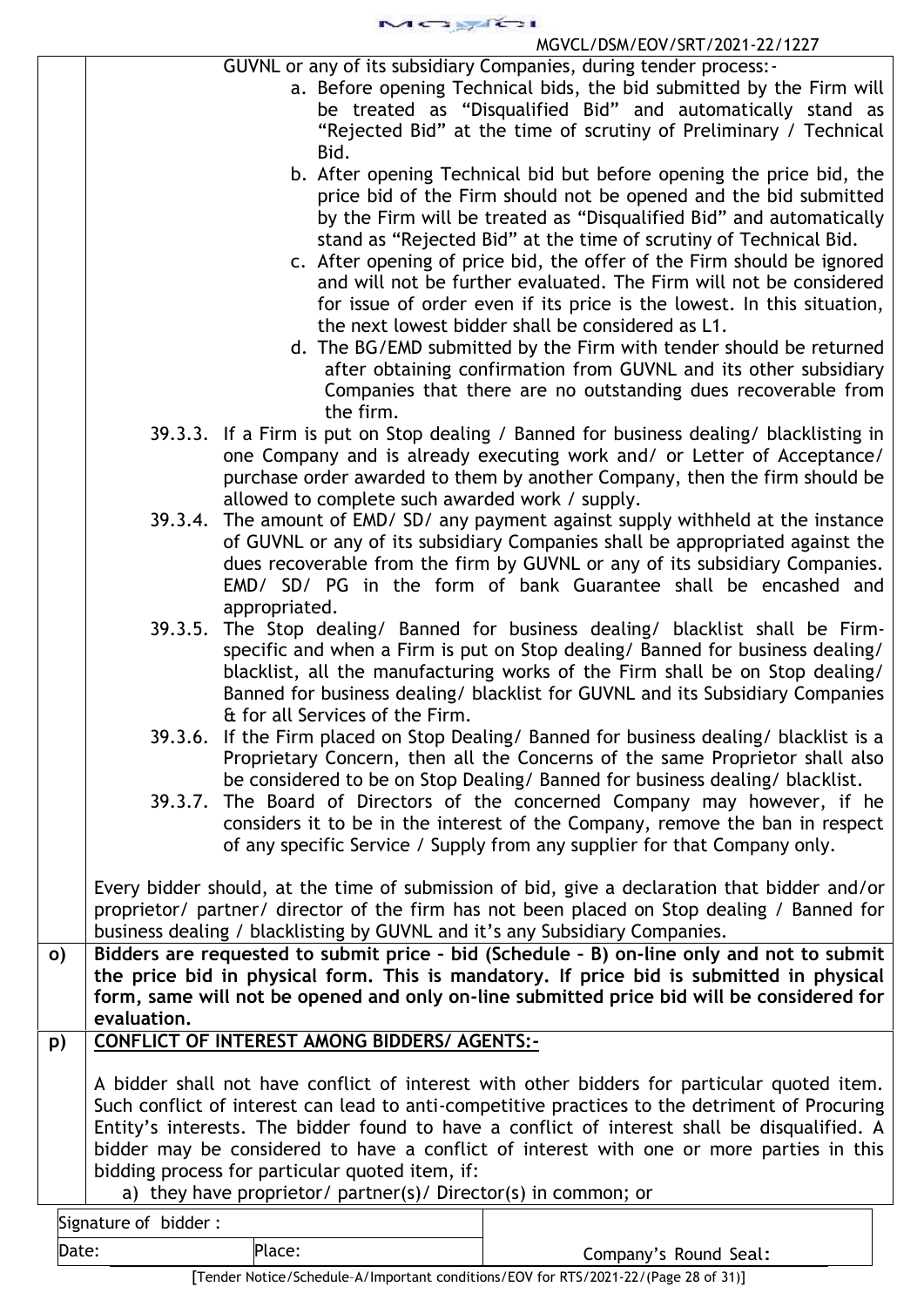$1 \leftrightarrow 1$ 

## MGVCL/DSM/EOV/SRT/2021-22/1227

- a. Before opening Technical bids, the bid submitted by the Firm will be treated as "Disqualified Bid" and automatically stand as "Rejected Bid" at the time of scrutiny of Preliminary / Technical Bid.
- b. After opening Technical bid but before opening the price bid, the price bid of the Firm should not be opened and the bid submitted by the Firm will be treated as "Disqualified Bid" and automatically stand as "Rejected Bid" at the time of scrutiny of Technical Bid.
- c. After opening of price bid, the offer of the Firm should be ignored and will not be further evaluated. The Firm will not be considered for issue of order even if its price is the lowest. In this situation, the next lowest bidder shall be considered as L1.
- d. The BG/EMD submitted by the Firm with tender should be returned after obtaining confirmation from GUVNL and its other subsidiary Companies that there are no outstanding dues recoverable from the firm.
- 39.3.3. If a Firm is put on Stop dealing / Banned for business dealing/ blacklisting in one Company and is already executing work and/ or Letter of Acceptance/ purchase order awarded to them by another Company, then the firm should be allowed to complete such awarded work / supply.
- 39.3.4. The amount of EMD/ SD/ any payment against supply withheld at the instance of GUVNL or any of its subsidiary Companies shall be appropriated against the dues recoverable from the firm by GUVNL or any of its subsidiary Companies. EMD/ SD/ PG in the form of bank Guarantee shall be encashed and appropriated.
- 39.3.5. The Stop dealing/ Banned for business dealing/ blacklist shall be Firm specific and when a Firm is put on Stop dealing/ Banned for business dealing/ blacklist, all the manufacturing works of the Firm shall be on Stop dealing/ Banned for business dealing/ blacklist for GUVNL and its Subsidiary Companies & for all Services of the Firm.
- 39.3.6. If the Firm placed on Stop Dealing/ Banned for business dealing/ blacklist is a Proprietary Concern, then all the Concerns of the same Proprietor shall also be considered to be on Stop Dealing/ Banned for business dealing/ blacklist.
- 39.3.7. The Board of Directors of the concerned Company may however, if he considers it to be in the interest of the Company, remove the ban in respect of any specific Service / Supply from any supplier for that Company only.

Every bidder should, at the time of submission of bid, give a declaration that bidder and/or proprietor/ partner/ director of the firm has not been placed on Stop dealing / Banned for business dealing / blacklisting by GUVNL and it's any Subsidiary Companies.

**o) Bidders are requested to submit price – bid (Schedule – B) on-line only and not to submit the price bid in physical form. This is mandatory. If price bid is submitted in physical form, same will not be opened and only on-line submitted price bid will be considered for evaluation.**

# **p) CONFLICT OF INTEREST AMONG BIDDERS/ AGENTS:-**

A bidder shall not have conflict of interest with other bidders for particular quoted item. Such conflict of interest can lead to anti-competitive practices to the detriment of Procuring Entity's interests. The bidder found to have a conflict of interest shall be disqualified. A bidder may be considered to have a conflict of interest with one or more parties in this bidding process for particular quoted item, if:

a) they have proprietor/ partner(s)/ Director(s) in common; or

Signature of bidder :

Date: Place: Place: Place: Place: Place: Company's Round Seal: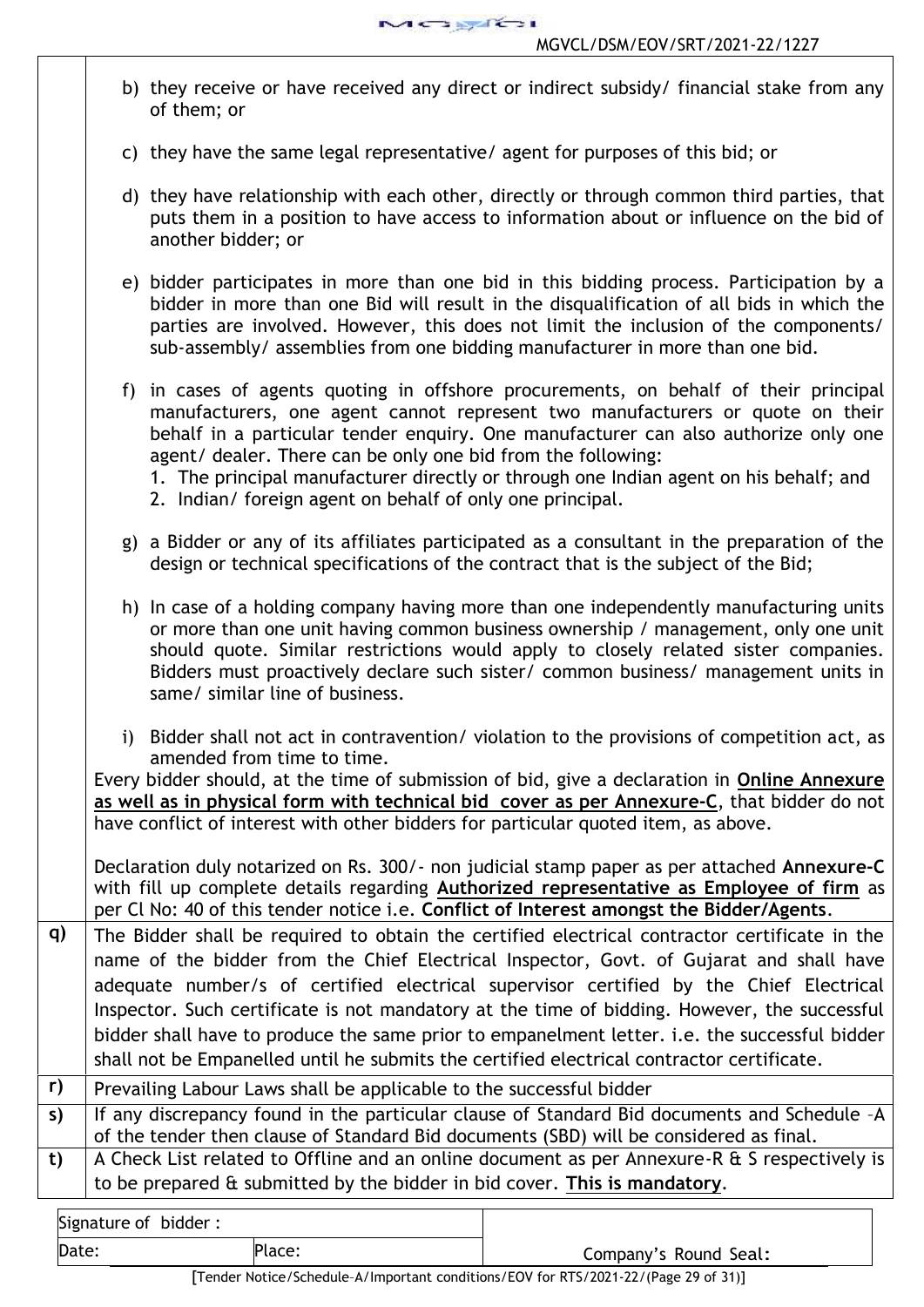

Signature of bidder : b) they receive or have received any direct or indirect subsidy/ financial stake from any of them; or c) they have the same legal representative/ agent for purposes of this bid; or d) they have relationship with each other, directly or through common third parties, that puts them in a position to have access to information about or influence on the bid of another bidder; or e) bidder participates in more than one bid in this bidding process. Participation by a bidder in more than one Bid will result in the disqualification of all bids in which the parties are involved. However, this does not limit the inclusion of the components/ sub-assembly/ assemblies from one bidding manufacturer in more than one bid. f) in cases of agents quoting in offshore procurements, on behalf of their principal manufacturers, one agent cannot represent two manufacturers or quote on their behalf in a particular tender enquiry. One manufacturer can also authorize only one agent/ dealer. There can be only one bid from the following: 1. The principal manufacturer directly or through one Indian agent on his behalf; and 2. Indian/ foreign agent on behalf of only one principal. g) a Bidder or any of its affiliates participated as a consultant in the preparation of the design or technical specifications of the contract that is the subject of the Bid; h) In case of a holding company having more than one independently manufacturing units or more than one unit having common business ownership / management, only one unit should quote. Similar restrictions would apply to closely related sister companies. Bidders must proactively declare such sister/ common business/ management units in same/ similar line of business. i) Bidder shall not act in contravention/ violation to the provisions of competition act, as amended from time to time. Every bidder should, at the time of submission of bid, give a declaration in **Online Annexure as well as in physical form with technical bid cover as per Annexure-C**, that bidder do not have conflict of interest with other bidders for particular quoted item, as above. Declaration duly notarized on Rs. 300/- non judicial stamp paper as per attached **Annexure-C** with fill up complete details regarding **Authorized representative as Employee of firm** as per Cl No: 40 of this tender notice i.e. **Conflict of Interest amongst the Bidder/Agents**. **q)** The Bidder shall be required to obtain the certified electrical contractor certificate in the name of the bidder from the Chief Electrical Inspector, Govt. of Gujarat and shall have adequate number/s of certified electrical supervisor certified by the Chief Electrical Inspector. Such certificate is not mandatory at the time of bidding. However, the successful bidder shall have to produce the same prior to empanelment letter. i.e. the successful bidder shall not be Empanelled until he submits the certified electrical contractor certificate. **r)** Prevailing Labour Laws shall be applicable to the successful bidder **s)** If any discrepancy found in the particular clause of Standard Bid documents and Schedule –A of the tender then clause of Standard Bid documents (SBD) will be considered as final. **t)** A Check List related to Offline and an online document as per Annexure-R & S respectively is to be prepared & submitted by the bidder in bid cover. **This is mandatory**.

Date: Place: Place: Place: Place: Place: Place: Company's Round Seal: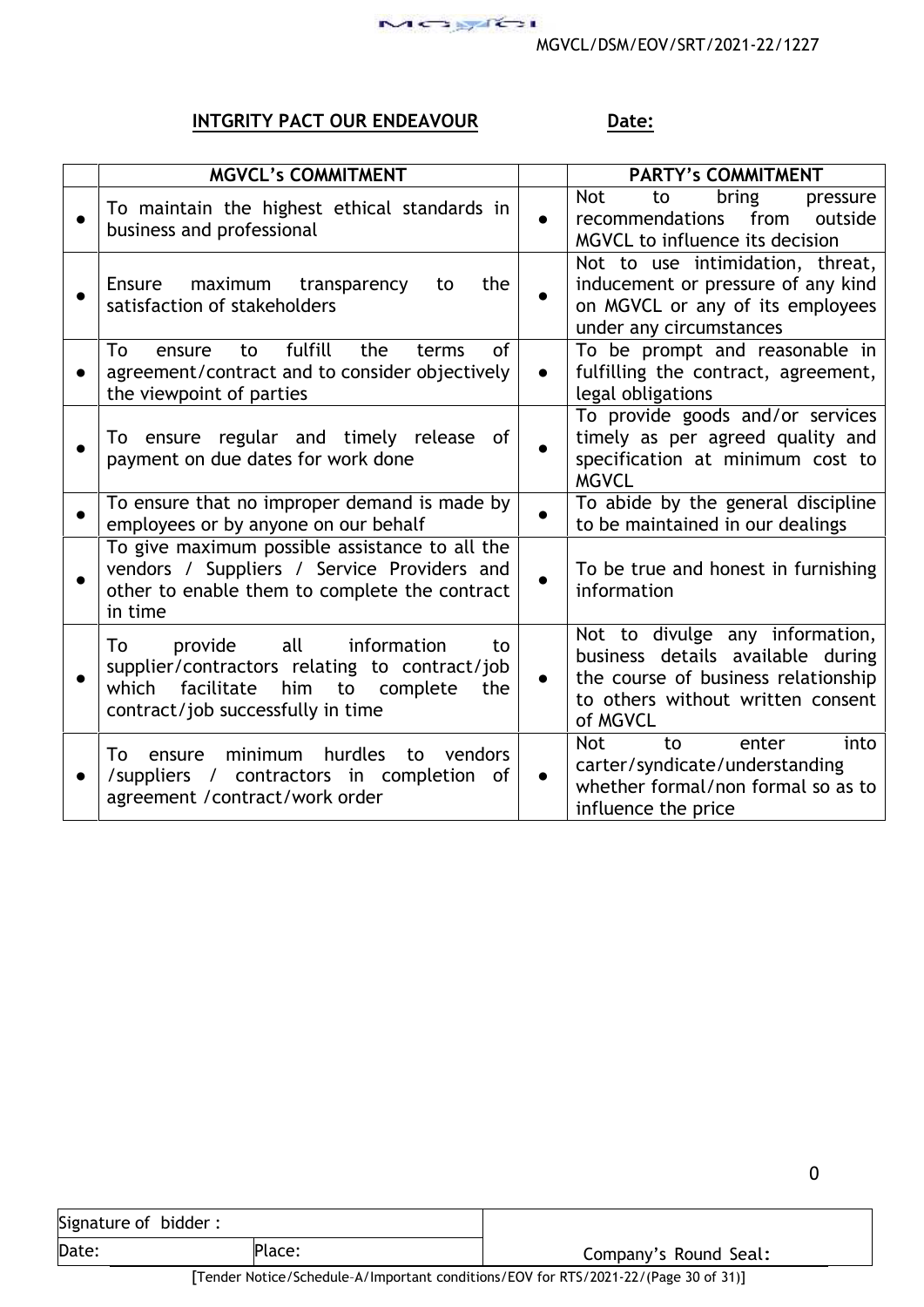0

# **INTGRITY PACT OUR ENDEAVOUR** Date:

|           | <b>MGVCL's COMMITMENT</b>                                                                                                                                                        |           | <b>PARTY's COMMITMENT</b>                                                                                                                                    |
|-----------|----------------------------------------------------------------------------------------------------------------------------------------------------------------------------------|-----------|--------------------------------------------------------------------------------------------------------------------------------------------------------------|
|           | To maintain the highest ethical standards in<br>business and professional                                                                                                        |           | bring<br><b>Not</b><br>to<br>pressure<br>recommendations<br>from<br>outside<br>MGVCL to influence its decision                                               |
|           | maximum<br>transparency<br>Ensure<br>the<br>to<br>satisfaction of stakeholders                                                                                                   | $\bullet$ | Not to use intimidation, threat,<br>inducement or pressure of any kind<br>on MGVCL or any of its employees<br>under any circumstances                        |
|           | fulfill<br>of<br>To<br>the<br>terms<br>ensure<br>to<br>agreement/contract and to consider objectively<br>the viewpoint of parties                                                | $\bullet$ | To be prompt and reasonable in<br>fulfilling the contract, agreement,<br>legal obligations                                                                   |
|           | To ensure regular and timely release of<br>payment on due dates for work done                                                                                                    | $\bullet$ | To provide goods and/or services<br>timely as per agreed quality and<br>specification at minimum cost to<br><b>MGVCL</b>                                     |
| $\bullet$ | To ensure that no improper demand is made by<br>employees or by anyone on our behalf                                                                                             | $\bullet$ | To abide by the general discipline<br>to be maintained in our dealings                                                                                       |
| $\bullet$ | To give maximum possible assistance to all the<br>vendors / Suppliers / Service Providers and<br>other to enable them to complete the contract<br>in time                        | $\bullet$ | To be true and honest in furnishing<br>information                                                                                                           |
| $\bullet$ | all<br>To<br>provide<br>information<br>to<br>supplier/contractors relating to contract/job<br>facilitate<br>him to complete<br>which<br>the<br>contract/job successfully in time | $\bullet$ | Not to divulge any information,<br>business details available during<br>the course of business relationship<br>to others without written consent<br>of MGVCL |
|           | hurdles<br>minimum<br>vendors<br>To<br>to<br>ensure<br>/suppliers / contractors in completion of<br>agreement / contract/work order                                              | $\bullet$ | into<br><b>Not</b><br>to<br>enter<br>carter/syndicate/understanding<br>whether formal/non formal so as to<br>influence the price                             |

| Signature of bidder: |        |                                        |
|----------------------|--------|----------------------------------------|
| Date:                | Place: | Company's Round Seal:                  |
| __                   |        | _ _ _ _ . _ _ _ . _ _ _<br>_ _ _ _ _ _ |